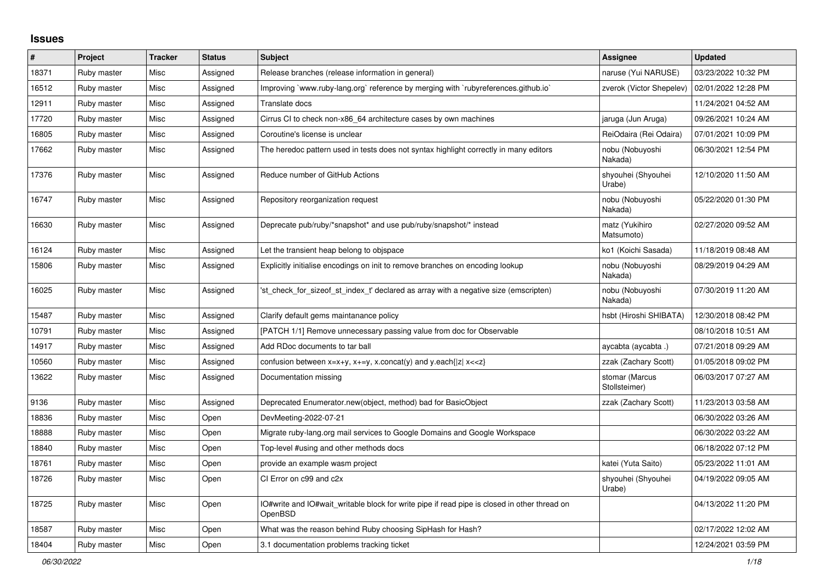## **Issues**

| $\sharp$ | Project     | <b>Tracker</b> | <b>Status</b> | <b>Subject</b>                                                                                          | <b>Assignee</b>                 | <b>Updated</b>      |
|----------|-------------|----------------|---------------|---------------------------------------------------------------------------------------------------------|---------------------------------|---------------------|
| 18371    | Ruby master | Misc           | Assigned      | Release branches (release information in general)                                                       | naruse (Yui NARUSE)             | 03/23/2022 10:32 PM |
| 16512    | Ruby master | Misc           | Assigned      | Improving `www.ruby-lang.org` reference by merging with `rubyreferences.github.io`                      | zverok (Victor Shepelev)        | 02/01/2022 12:28 PM |
| 12911    | Ruby master | Misc           | Assigned      | Translate docs                                                                                          |                                 | 11/24/2021 04:52 AM |
| 17720    | Ruby master | Misc           | Assigned      | Cirrus CI to check non-x86 64 architecture cases by own machines                                        | jaruga (Jun Aruga)              | 09/26/2021 10:24 AM |
| 16805    | Ruby master | Misc           | Assigned      | Coroutine's license is unclear                                                                          | ReiOdaira (Rei Odaira)          | 07/01/2021 10:09 PM |
| 17662    | Ruby master | Misc           | Assigned      | The heredoc pattern used in tests does not syntax highlight correctly in many editors                   | nobu (Nobuyoshi<br>Nakada)      | 06/30/2021 12:54 PM |
| 17376    | Ruby master | Misc           | Assigned      | Reduce number of GitHub Actions                                                                         | shyouhei (Shyouhei<br>Urabe)    | 12/10/2020 11:50 AM |
| 16747    | Ruby master | Misc           | Assigned      | Repository reorganization request                                                                       | nobu (Nobuyoshi<br>Nakada)      | 05/22/2020 01:30 PM |
| 16630    | Ruby master | Misc           | Assigned      | Deprecate pub/ruby/*snapshot* and use pub/ruby/snapshot/* instead                                       | matz (Yukihiro<br>Matsumoto)    | 02/27/2020 09:52 AM |
| 16124    | Ruby master | Misc           | Assigned      | Let the transient heap belong to objspace                                                               | ko1 (Koichi Sasada)             | 11/18/2019 08:48 AM |
| 15806    | Ruby master | Misc           | Assigned      | Explicitly initialise encodings on init to remove branches on encoding lookup                           | nobu (Nobuyoshi<br>Nakada)      | 08/29/2019 04:29 AM |
| 16025    | Ruby master | Misc           | Assigned      | 'st_check_for_sizeof_st_index_t' declared as array with a negative size (emscripten)                    | nobu (Nobuyoshi<br>Nakada)      | 07/30/2019 11:20 AM |
| 15487    | Ruby master | Misc           | Assigned      | Clarify default gems maintanance policy                                                                 | hsbt (Hiroshi SHIBATA)          | 12/30/2018 08:42 PM |
| 10791    | Ruby master | Misc           | Assigned      | [PATCH 1/1] Remove unnecessary passing value from doc for Observable                                    |                                 | 08/10/2018 10:51 AM |
| 14917    | Ruby master | Misc           | Assigned      | Add RDoc documents to tar ball                                                                          | aycabta (aycabta.)              | 07/21/2018 09:29 AM |
| 10560    | Ruby master | Misc           | Assigned      | confusion between $x=x+y$ , $x+=y$ , x.concat(y) and y.each{ z  $x<}$                                   | zzak (Zachary Scott)            | 01/05/2018 09:02 PM |
| 13622    | Ruby master | Misc           | Assigned      | Documentation missing                                                                                   | stomar (Marcus<br>Stollsteimer) | 06/03/2017 07:27 AM |
| 9136     | Ruby master | Misc           | Assigned      | Deprecated Enumerator.new(object, method) bad for BasicObject                                           | zzak (Zachary Scott)            | 11/23/2013 03:58 AM |
| 18836    | Ruby master | Misc           | Open          | DevMeeting-2022-07-21                                                                                   |                                 | 06/30/2022 03:26 AM |
| 18888    | Ruby master | Misc           | Open          | Migrate ruby-lang.org mail services to Google Domains and Google Workspace                              |                                 | 06/30/2022 03:22 AM |
| 18840    | Ruby master | Misc           | Open          | Top-level #using and other methods docs                                                                 |                                 | 06/18/2022 07:12 PM |
| 18761    | Ruby master | Misc           | Open          | provide an example wasm project                                                                         | katei (Yuta Saito)              | 05/23/2022 11:01 AM |
| 18726    | Ruby master | Misc           | Open          | CI Error on c99 and c2x                                                                                 | shyouhei (Shyouhei<br>Urabe)    | 04/19/2022 09:05 AM |
| 18725    | Ruby master | Misc           | Open          | IO#write and IO#wait writable block for write pipe if read pipe is closed in other thread on<br>OpenBSD |                                 | 04/13/2022 11:20 PM |
| 18587    | Ruby master | Misc           | Open          | What was the reason behind Ruby choosing SipHash for Hash?                                              |                                 | 02/17/2022 12:02 AM |
| 18404    | Ruby master | Misc           | Open          | 3.1 documentation problems tracking ticket                                                              |                                 | 12/24/2021 03:59 PM |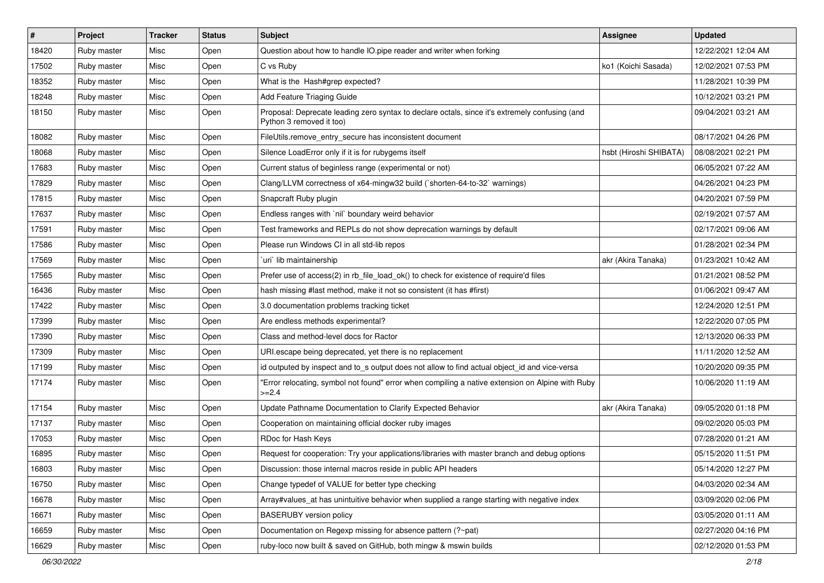| $\vert$ # | Project     | <b>Tracker</b> | <b>Status</b> | <b>Subject</b>                                                                                                             | Assignee               | <b>Updated</b>      |
|-----------|-------------|----------------|---------------|----------------------------------------------------------------------------------------------------------------------------|------------------------|---------------------|
| 18420     | Ruby master | Misc           | Open          | Question about how to handle IO.pipe reader and writer when forking                                                        |                        | 12/22/2021 12:04 AM |
| 17502     | Ruby master | Misc           | Open          | C vs Ruby                                                                                                                  | ko1 (Koichi Sasada)    | 12/02/2021 07:53 PM |
| 18352     | Ruby master | Misc           | Open          | What is the Hash#grep expected?                                                                                            |                        | 11/28/2021 10:39 PM |
| 18248     | Ruby master | Misc           | Open          | Add Feature Triaging Guide                                                                                                 |                        | 10/12/2021 03:21 PM |
| 18150     | Ruby master | Misc           | Open          | Proposal: Deprecate leading zero syntax to declare octals, since it's extremely confusing (and<br>Python 3 removed it too) |                        | 09/04/2021 03:21 AM |
| 18082     | Ruby master | Misc           | Open          | FileUtils.remove_entry_secure has inconsistent document                                                                    |                        | 08/17/2021 04:26 PM |
| 18068     | Ruby master | Misc           | Open          | Silence LoadError only if it is for rubygems itself                                                                        | hsbt (Hiroshi SHIBATA) | 08/08/2021 02:21 PM |
| 17683     | Ruby master | Misc           | Open          | Current status of beginless range (experimental or not)                                                                    |                        | 06/05/2021 07:22 AM |
| 17829     | Ruby master | Misc           | Open          | Clang/LLVM correctness of x64-mingw32 build (`shorten-64-to-32` warnings)                                                  |                        | 04/26/2021 04:23 PM |
| 17815     | Ruby master | Misc           | Open          | Snapcraft Ruby plugin                                                                                                      |                        | 04/20/2021 07:59 PM |
| 17637     | Ruby master | Misc           | Open          | Endless ranges with `nil` boundary weird behavior                                                                          |                        | 02/19/2021 07:57 AM |
| 17591     | Ruby master | Misc           | Open          | Test frameworks and REPLs do not show deprecation warnings by default                                                      |                        | 02/17/2021 09:06 AM |
| 17586     | Ruby master | Misc           | Open          | Please run Windows CI in all std-lib repos                                                                                 |                        | 01/28/2021 02:34 PM |
| 17569     | Ruby master | Misc           | Open          | 'uri' lib maintainership                                                                                                   | akr (Akira Tanaka)     | 01/23/2021 10:42 AM |
| 17565     | Ruby master | Misc           | Open          | Prefer use of access(2) in rb_file_load_ok() to check for existence of require'd files                                     |                        | 01/21/2021 08:52 PM |
| 16436     | Ruby master | Misc           | Open          | hash missing #last method, make it not so consistent (it has #first)                                                       |                        | 01/06/2021 09:47 AM |
| 17422     | Ruby master | Misc           | Open          | 3.0 documentation problems tracking ticket                                                                                 |                        | 12/24/2020 12:51 PM |
| 17399     | Ruby master | Misc           | Open          | Are endless methods experimental?                                                                                          |                        | 12/22/2020 07:05 PM |
| 17390     | Ruby master | Misc           | Open          | Class and method-level docs for Ractor                                                                                     |                        | 12/13/2020 06:33 PM |
| 17309     | Ruby master | Misc           | Open          | URI.escape being deprecated, yet there is no replacement                                                                   |                        | 11/11/2020 12:52 AM |
| 17199     | Ruby master | Misc           | Open          | id outputed by inspect and to_s output does not allow to find actual object_id and vice-versa                              |                        | 10/20/2020 09:35 PM |
| 17174     | Ruby master | Misc           | Open          | 'Error relocating, symbol not found" error when compiling a native extension on Alpine with Ruby<br>$>=2.4$                |                        | 10/06/2020 11:19 AM |
| 17154     | Ruby master | Misc           | Open          | Update Pathname Documentation to Clarify Expected Behavior                                                                 | akr (Akira Tanaka)     | 09/05/2020 01:18 PM |
| 17137     | Ruby master | Misc           | Open          | Cooperation on maintaining official docker ruby images                                                                     |                        | 09/02/2020 05:03 PM |
| 17053     | Ruby master | Misc           | Open          | RDoc for Hash Keys                                                                                                         |                        | 07/28/2020 01:21 AM |
| 16895     | Ruby master | Misc           | Open          | Request for cooperation: Try your applications/libraries with master branch and debug options                              |                        | 05/15/2020 11:51 PM |
| 16803     | Ruby master | Misc           | Open          | Discussion: those internal macros reside in public API headers                                                             |                        | 05/14/2020 12:27 PM |
| 16750     | Ruby master | Misc           | Open          | Change typedef of VALUE for better type checking                                                                           |                        | 04/03/2020 02:34 AM |
| 16678     | Ruby master | Misc           | Open          | Array#values_at has unintuitive behavior when supplied a range starting with negative index                                |                        | 03/09/2020 02:06 PM |
| 16671     | Ruby master | Misc           | Open          | <b>BASERUBY</b> version policy                                                                                             |                        | 03/05/2020 01:11 AM |
| 16659     | Ruby master | Misc           | Open          | Documentation on Regexp missing for absence pattern (?~pat)                                                                |                        | 02/27/2020 04:16 PM |
| 16629     | Ruby master | Misc           | Open          | ruby-loco now built & saved on GitHub, both mingw & mswin builds                                                           |                        | 02/12/2020 01:53 PM |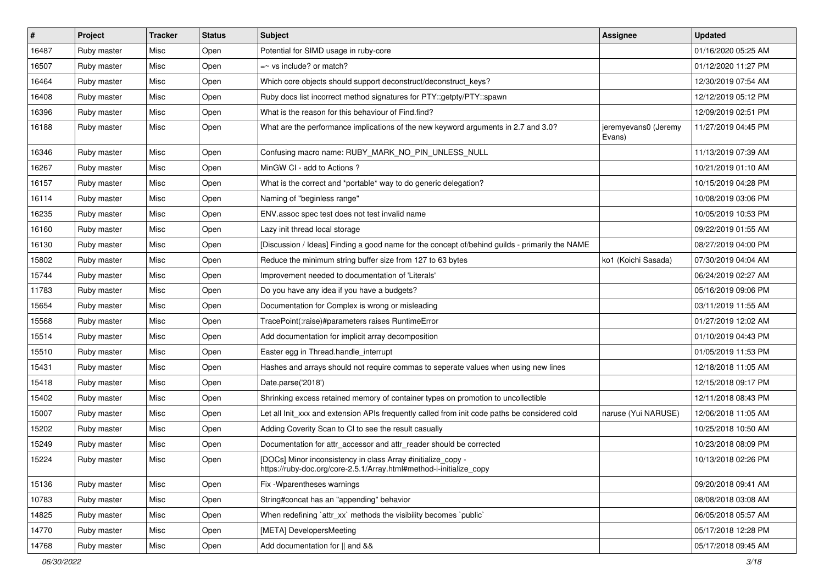| $\vert$ # | Project     | <b>Tracker</b> | <b>Status</b> | <b>Subject</b>                                                                                                                      | Assignee                       | <b>Updated</b>      |
|-----------|-------------|----------------|---------------|-------------------------------------------------------------------------------------------------------------------------------------|--------------------------------|---------------------|
| 16487     | Ruby master | Misc           | Open          | Potential for SIMD usage in ruby-core                                                                                               |                                | 01/16/2020 05:25 AM |
| 16507     | Ruby master | Misc           | Open          | $=$ vs include? or match?                                                                                                           |                                | 01/12/2020 11:27 PM |
| 16464     | Ruby master | Misc           | Open          | Which core objects should support deconstruct/deconstruct_keys?                                                                     |                                | 12/30/2019 07:54 AM |
| 16408     | Ruby master | Misc           | Open          | Ruby docs list incorrect method signatures for PTY::getpty/PTY::spawn                                                               |                                | 12/12/2019 05:12 PM |
| 16396     | Ruby master | Misc           | Open          | What is the reason for this behaviour of Find.find?                                                                                 |                                | 12/09/2019 02:51 PM |
| 16188     | Ruby master | Misc           | Open          | What are the performance implications of the new keyword arguments in 2.7 and 3.0?                                                  | jeremyevans0 (Jeremy<br>Evans) | 11/27/2019 04:45 PM |
| 16346     | Ruby master | Misc           | Open          | Confusing macro name: RUBY_MARK_NO_PIN_UNLESS_NULL                                                                                  |                                | 11/13/2019 07:39 AM |
| 16267     | Ruby master | Misc           | Open          | MinGW CI - add to Actions ?                                                                                                         |                                | 10/21/2019 01:10 AM |
| 16157     | Ruby master | Misc           | Open          | What is the correct and *portable* way to do generic delegation?                                                                    |                                | 10/15/2019 04:28 PM |
| 16114     | Ruby master | Misc           | Open          | Naming of "beginless range"                                                                                                         |                                | 10/08/2019 03:06 PM |
| 16235     | Ruby master | Misc           | Open          | ENV assoc spec test does not test invalid name                                                                                      |                                | 10/05/2019 10:53 PM |
| 16160     | Ruby master | Misc           | Open          | Lazy init thread local storage                                                                                                      |                                | 09/22/2019 01:55 AM |
| 16130     | Ruby master | Misc           | Open          | [Discussion / Ideas] Finding a good name for the concept of/behind guilds - primarily the NAME                                      |                                | 08/27/2019 04:00 PM |
| 15802     | Ruby master | Misc           | Open          | Reduce the minimum string buffer size from 127 to 63 bytes                                                                          | ko1 (Koichi Sasada)            | 07/30/2019 04:04 AM |
| 15744     | Ruby master | Misc           | Open          | Improvement needed to documentation of 'Literals'                                                                                   |                                | 06/24/2019 02:27 AM |
| 11783     | Ruby master | Misc           | Open          | Do you have any idea if you have a budgets?                                                                                         |                                | 05/16/2019 09:06 PM |
| 15654     | Ruby master | Misc           | Open          | Documentation for Complex is wrong or misleading                                                                                    |                                | 03/11/2019 11:55 AM |
| 15568     | Ruby master | Misc           | Open          | TracePoint(:raise)#parameters raises RuntimeError                                                                                   |                                | 01/27/2019 12:02 AM |
| 15514     | Ruby master | Misc           | Open          | Add documentation for implicit array decomposition                                                                                  |                                | 01/10/2019 04:43 PM |
| 15510     | Ruby master | Misc           | Open          | Easter egg in Thread.handle_interrupt                                                                                               |                                | 01/05/2019 11:53 PM |
| 15431     | Ruby master | Misc           | Open          | Hashes and arrays should not require commas to seperate values when using new lines                                                 |                                | 12/18/2018 11:05 AM |
| 15418     | Ruby master | Misc           | Open          | Date.parse('2018')                                                                                                                  |                                | 12/15/2018 09:17 PM |
| 15402     | Ruby master | Misc           | Open          | Shrinking excess retained memory of container types on promotion to uncollectible                                                   |                                | 12/11/2018 08:43 PM |
| 15007     | Ruby master | Misc           | Open          | Let all Init xxx and extension APIs frequently called from init code paths be considered cold                                       | naruse (Yui NARUSE)            | 12/06/2018 11:05 AM |
| 15202     | Ruby master | Misc           | Open          | Adding Coverity Scan to CI to see the result casually                                                                               |                                | 10/25/2018 10:50 AM |
| 15249     | Ruby master | Misc           | Open          | Documentation for attr_accessor and attr_reader should be corrected                                                                 |                                | 10/23/2018 08:09 PM |
| 15224     | Ruby master | Misc           | Open          | [DOCs] Minor inconsistency in class Array #initialize_copy -<br>https://ruby-doc.org/core-2.5.1/Array.html#method-i-initialize_copy |                                | 10/13/2018 02:26 PM |
| 15136     | Ruby master | Misc           | Open          | Fix - Wparentheses warnings                                                                                                         |                                | 09/20/2018 09:41 AM |
| 10783     | Ruby master | Misc           | Open          | String#concat has an "appending" behavior                                                                                           |                                | 08/08/2018 03:08 AM |
| 14825     | Ruby master | Misc           | Open          | When redefining 'attr_xx' methods the visibility becomes 'public'                                                                   |                                | 06/05/2018 05:57 AM |
| 14770     | Ruby master | Misc           | Open          | [META] DevelopersMeeting                                                                                                            |                                | 05/17/2018 12:28 PM |
| 14768     | Ruby master | Misc           | Open          | Add documentation for    and &&                                                                                                     |                                | 05/17/2018 09:45 AM |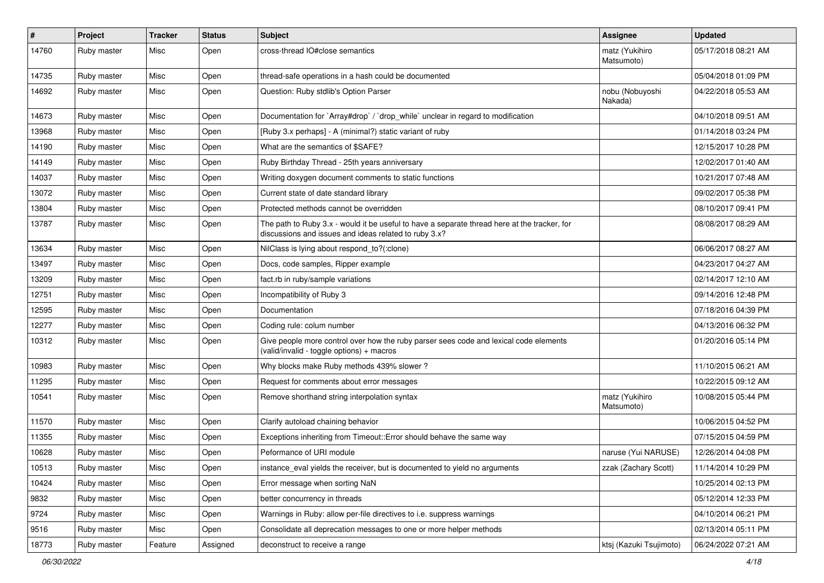| $\vert$ # | Project     | <b>Tracker</b> | <b>Status</b> | <b>Subject</b>                                                                                                                                        | Assignee                     | <b>Updated</b>      |
|-----------|-------------|----------------|---------------|-------------------------------------------------------------------------------------------------------------------------------------------------------|------------------------------|---------------------|
| 14760     | Ruby master | Misc           | Open          | cross-thread IO#close semantics                                                                                                                       | matz (Yukihiro<br>Matsumoto) | 05/17/2018 08:21 AM |
| 14735     | Ruby master | Misc           | Open          | thread-safe operations in a hash could be documented                                                                                                  |                              | 05/04/2018 01:09 PM |
| 14692     | Ruby master | Misc           | Open          | Question: Ruby stdlib's Option Parser                                                                                                                 | nobu (Nobuyoshi<br>Nakada)   | 04/22/2018 05:53 AM |
| 14673     | Ruby master | Misc           | Open          | Documentation for `Array#drop` / `drop_while` unclear in regard to modification                                                                       |                              | 04/10/2018 09:51 AM |
| 13968     | Ruby master | Misc           | Open          | [Ruby 3.x perhaps] - A (minimal?) static variant of ruby                                                                                              |                              | 01/14/2018 03:24 PM |
| 14190     | Ruby master | Misc           | Open          | What are the semantics of \$SAFE?                                                                                                                     |                              | 12/15/2017 10:28 PM |
| 14149     | Ruby master | Misc           | Open          | Ruby Birthday Thread - 25th years anniversary                                                                                                         |                              | 12/02/2017 01:40 AM |
| 14037     | Ruby master | Misc           | Open          | Writing doxygen document comments to static functions                                                                                                 |                              | 10/21/2017 07:48 AM |
| 13072     | Ruby master | Misc           | Open          | Current state of date standard library                                                                                                                |                              | 09/02/2017 05:38 PM |
| 13804     | Ruby master | Misc           | Open          | Protected methods cannot be overridden                                                                                                                |                              | 08/10/2017 09:41 PM |
| 13787     | Ruby master | Misc           | Open          | The path to Ruby 3.x - would it be useful to have a separate thread here at the tracker, for<br>discussions and issues and ideas related to ruby 3.x? |                              | 08/08/2017 08:29 AM |
| 13634     | Ruby master | Misc           | Open          | NilClass is lying about respond_to?(:clone)                                                                                                           |                              | 06/06/2017 08:27 AM |
| 13497     | Ruby master | Misc           | Open          | Docs, code samples, Ripper example                                                                                                                    |                              | 04/23/2017 04:27 AM |
| 13209     | Ruby master | Misc           | Open          | fact.rb in ruby/sample variations                                                                                                                     |                              | 02/14/2017 12:10 AM |
| 12751     | Ruby master | Misc           | Open          | Incompatibility of Ruby 3                                                                                                                             |                              | 09/14/2016 12:48 PM |
| 12595     | Ruby master | Misc           | Open          | Documentation                                                                                                                                         |                              | 07/18/2016 04:39 PM |
| 12277     | Ruby master | Misc           | Open          | Coding rule: colum number                                                                                                                             |                              | 04/13/2016 06:32 PM |
| 10312     | Ruby master | Misc           | Open          | Give people more control over how the ruby parser sees code and lexical code elements<br>(valid/invalid - toggle options) + macros                    |                              | 01/20/2016 05:14 PM |
| 10983     | Ruby master | Misc           | Open          | Why blocks make Ruby methods 439% slower?                                                                                                             |                              | 11/10/2015 06:21 AM |
| 11295     | Ruby master | Misc           | Open          | Request for comments about error messages                                                                                                             |                              | 10/22/2015 09:12 AM |
| 10541     | Ruby master | Misc           | Open          | Remove shorthand string interpolation syntax                                                                                                          | matz (Yukihiro<br>Matsumoto) | 10/08/2015 05:44 PM |
| 11570     | Ruby master | Misc           | Open          | Clarify autoload chaining behavior                                                                                                                    |                              | 10/06/2015 04:52 PM |
| 11355     | Ruby master | Misc           | Open          | Exceptions inheriting from Timeout:: Error should behave the same way                                                                                 |                              | 07/15/2015 04:59 PM |
| 10628     | Ruby master | Misc           | Open          | Peformance of URI module                                                                                                                              | naruse (Yui NARUSE)          | 12/26/2014 04:08 PM |
| 10513     | Ruby master | Misc           | Open          | instance_eval yields the receiver, but is documented to yield no arguments                                                                            | zzak (Zachary Scott)         | 11/14/2014 10:29 PM |
| 10424     | Ruby master | Misc           | Open          | Error message when sorting NaN                                                                                                                        |                              | 10/25/2014 02:13 PM |
| 9832      | Ruby master | Misc           | Open          | better concurrency in threads                                                                                                                         |                              | 05/12/2014 12:33 PM |
| 9724      | Ruby master | Misc           | Open          | Warnings in Ruby: allow per-file directives to i.e. suppress warnings                                                                                 |                              | 04/10/2014 06:21 PM |
| 9516      | Ruby master | Misc           | Open          | Consolidate all deprecation messages to one or more helper methods                                                                                    |                              | 02/13/2014 05:11 PM |
| 18773     | Ruby master | Feature        | Assigned      | deconstruct to receive a range                                                                                                                        | ktsj (Kazuki Tsujimoto)      | 06/24/2022 07:21 AM |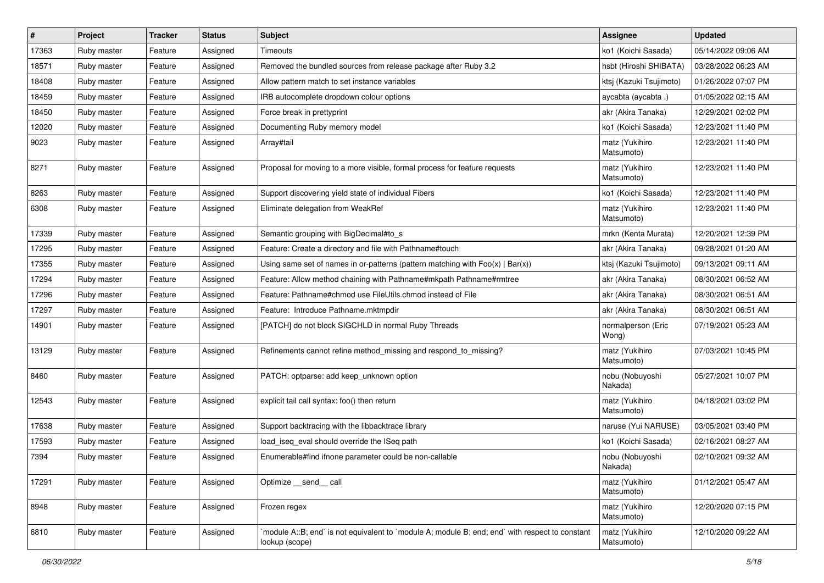| $\vert$ # | Project     | <b>Tracker</b> | <b>Status</b> | Subject                                                                                                          | Assignee                     | <b>Updated</b>      |
|-----------|-------------|----------------|---------------|------------------------------------------------------------------------------------------------------------------|------------------------------|---------------------|
| 17363     | Ruby master | Feature        | Assigned      | Timeouts                                                                                                         | ko1 (Koichi Sasada)          | 05/14/2022 09:06 AM |
| 18571     | Ruby master | Feature        | Assigned      | Removed the bundled sources from release package after Ruby 3.2                                                  | hsbt (Hiroshi SHIBATA)       | 03/28/2022 06:23 AM |
| 18408     | Ruby master | Feature        | Assigned      | Allow pattern match to set instance variables                                                                    | ktsj (Kazuki Tsujimoto)      | 01/26/2022 07:07 PM |
| 18459     | Ruby master | Feature        | Assigned      | IRB autocomplete dropdown colour options                                                                         | aycabta (aycabta .)          | 01/05/2022 02:15 AM |
| 18450     | Ruby master | Feature        | Assigned      | Force break in prettyprint                                                                                       | akr (Akira Tanaka)           | 12/29/2021 02:02 PM |
| 12020     | Ruby master | Feature        | Assigned      | Documenting Ruby memory model                                                                                    | ko1 (Koichi Sasada)          | 12/23/2021 11:40 PM |
| 9023      | Ruby master | Feature        | Assigned      | Array#tail                                                                                                       | matz (Yukihiro<br>Matsumoto) | 12/23/2021 11:40 PM |
| 8271      | Ruby master | Feature        | Assigned      | Proposal for moving to a more visible, formal process for feature requests                                       | matz (Yukihiro<br>Matsumoto) | 12/23/2021 11:40 PM |
| 8263      | Ruby master | Feature        | Assigned      | Support discovering yield state of individual Fibers                                                             | ko1 (Koichi Sasada)          | 12/23/2021 11:40 PM |
| 6308      | Ruby master | Feature        | Assigned      | Eliminate delegation from WeakRef                                                                                | matz (Yukihiro<br>Matsumoto) | 12/23/2021 11:40 PM |
| 17339     | Ruby master | Feature        | Assigned      | Semantic grouping with BigDecimal#to_s                                                                           | mrkn (Kenta Murata)          | 12/20/2021 12:39 PM |
| 17295     | Ruby master | Feature        | Assigned      | Feature: Create a directory and file with Pathname#touch                                                         | akr (Akira Tanaka)           | 09/28/2021 01:20 AM |
| 17355     | Ruby master | Feature        | Assigned      | Using same set of names in or-patterns (pattern matching with $Foo(x)   Bar(x)$ )                                | ktsj (Kazuki Tsujimoto)      | 09/13/2021 09:11 AM |
| 17294     | Ruby master | Feature        | Assigned      | Feature: Allow method chaining with Pathname#mkpath Pathname#rmtree                                              | akr (Akira Tanaka)           | 08/30/2021 06:52 AM |
| 17296     | Ruby master | Feature        | Assigned      | Feature: Pathname#chmod use FileUtils.chmod instead of File                                                      | akr (Akira Tanaka)           | 08/30/2021 06:51 AM |
| 17297     | Ruby master | Feature        | Assigned      | Feature: Introduce Pathname.mktmpdir                                                                             | akr (Akira Tanaka)           | 08/30/2021 06:51 AM |
| 14901     | Ruby master | Feature        | Assigned      | [PATCH] do not block SIGCHLD in normal Ruby Threads                                                              | normalperson (Eric<br>Wong)  | 07/19/2021 05:23 AM |
| 13129     | Ruby master | Feature        | Assigned      | Refinements cannot refine method_missing and respond_to_missing?                                                 | matz (Yukihiro<br>Matsumoto) | 07/03/2021 10:45 PM |
| 8460      | Ruby master | Feature        | Assigned      | PATCH: optparse: add keep_unknown option                                                                         | nobu (Nobuyoshi<br>Nakada)   | 05/27/2021 10:07 PM |
| 12543     | Ruby master | Feature        | Assigned      | explicit tail call syntax: foo() then return                                                                     | matz (Yukihiro<br>Matsumoto) | 04/18/2021 03:02 PM |
| 17638     | Ruby master | Feature        | Assigned      | Support backtracing with the libbacktrace library                                                                | naruse (Yui NARUSE)          | 03/05/2021 03:40 PM |
| 17593     | Ruby master | Feature        | Assigned      | load_iseq_eval should override the ISeq path                                                                     | ko1 (Koichi Sasada)          | 02/16/2021 08:27 AM |
| 7394      | Ruby master | Feature        | Assigned      | Enumerable#find ifnone parameter could be non-callable                                                           | nobu (Nobuyoshi<br>Nakada)   | 02/10/2021 09:32 AM |
| 17291     | Ruby master | Feature        | Assigned      | Optimize __send__ call                                                                                           | matz (Yukihiro<br>Matsumoto) | 01/12/2021 05:47 AM |
| 8948      | Ruby master | Feature        | Assigned      | Frozen regex                                                                                                     | matz (Yukihiro<br>Matsumoto) | 12/20/2020 07:15 PM |
| 6810      | Ruby master | Feature        | Assigned      | module A::B; end` is not equivalent to `module A; module B; end; end` with respect to constant<br>lookup (scope) | matz (Yukihiro<br>Matsumoto) | 12/10/2020 09:22 AM |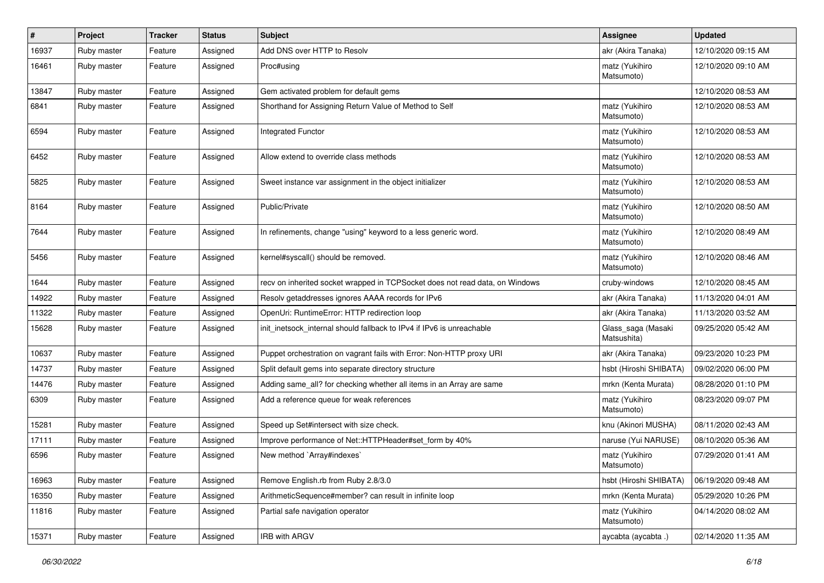| $\sharp$ | Project     | <b>Tracker</b> | <b>Status</b> | <b>Subject</b>                                                               | Assignee                          | <b>Updated</b>      |
|----------|-------------|----------------|---------------|------------------------------------------------------------------------------|-----------------------------------|---------------------|
| 16937    | Ruby master | Feature        | Assigned      | Add DNS over HTTP to Resolv                                                  | akr (Akira Tanaka)                | 12/10/2020 09:15 AM |
| 16461    | Ruby master | Feature        | Assigned      | Proc#using                                                                   | matz (Yukihiro<br>Matsumoto)      | 12/10/2020 09:10 AM |
| 13847    | Ruby master | Feature        | Assigned      | Gem activated problem for default gems                                       |                                   | 12/10/2020 08:53 AM |
| 6841     | Ruby master | Feature        | Assigned      | Shorthand for Assigning Return Value of Method to Self                       | matz (Yukihiro<br>Matsumoto)      | 12/10/2020 08:53 AM |
| 6594     | Ruby master | Feature        | Assigned      | Integrated Functor                                                           | matz (Yukihiro<br>Matsumoto)      | 12/10/2020 08:53 AM |
| 6452     | Ruby master | Feature        | Assigned      | Allow extend to override class methods                                       | matz (Yukihiro<br>Matsumoto)      | 12/10/2020 08:53 AM |
| 5825     | Ruby master | Feature        | Assigned      | Sweet instance var assignment in the object initializer                      | matz (Yukihiro<br>Matsumoto)      | 12/10/2020 08:53 AM |
| 8164     | Ruby master | Feature        | Assigned      | Public/Private                                                               | matz (Yukihiro<br>Matsumoto)      | 12/10/2020 08:50 AM |
| 7644     | Ruby master | Feature        | Assigned      | In refinements, change "using" keyword to a less generic word.               | matz (Yukihiro<br>Matsumoto)      | 12/10/2020 08:49 AM |
| 5456     | Ruby master | Feature        | Assigned      | kernel#syscall() should be removed.                                          | matz (Yukihiro<br>Matsumoto)      | 12/10/2020 08:46 AM |
| 1644     | Ruby master | Feature        | Assigned      | recv on inherited socket wrapped in TCPSocket does not read data, on Windows | cruby-windows                     | 12/10/2020 08:45 AM |
| 14922    | Ruby master | Feature        | Assigned      | Resolv getaddresses ignores AAAA records for IPv6                            | akr (Akira Tanaka)                | 11/13/2020 04:01 AM |
| 11322    | Ruby master | Feature        | Assigned      | OpenUri: RuntimeError: HTTP redirection loop                                 | akr (Akira Tanaka)                | 11/13/2020 03:52 AM |
| 15628    | Ruby master | Feature        | Assigned      | init inetsock internal should fallback to IPv4 if IPv6 is unreachable        | Glass_saga (Masaki<br>Matsushita) | 09/25/2020 05:42 AM |
| 10637    | Ruby master | Feature        | Assigned      | Puppet orchestration on vagrant fails with Error: Non-HTTP proxy URI         | akr (Akira Tanaka)                | 09/23/2020 10:23 PM |
| 14737    | Ruby master | Feature        | Assigned      | Split default gems into separate directory structure                         | hsbt (Hiroshi SHIBATA)            | 09/02/2020 06:00 PM |
| 14476    | Ruby master | Feature        | Assigned      | Adding same_all? for checking whether all items in an Array are same         | mrkn (Kenta Murata)               | 08/28/2020 01:10 PM |
| 6309     | Ruby master | Feature        | Assigned      | Add a reference queue for weak references                                    | matz (Yukihiro<br>Matsumoto)      | 08/23/2020 09:07 PM |
| 15281    | Ruby master | Feature        | Assigned      | Speed up Set#intersect with size check.                                      | knu (Akinori MUSHA)               | 08/11/2020 02:43 AM |
| 17111    | Ruby master | Feature        | Assigned      | Improve performance of Net::HTTPHeader#set form by 40%                       | naruse (Yui NARUSE)               | 08/10/2020 05:36 AM |
| 6596     | Ruby master | Feature        | Assigned      | New method `Array#indexes`                                                   | matz (Yukihiro<br>Matsumoto)      | 07/29/2020 01:41 AM |
| 16963    | Ruby master | Feature        | Assigned      | Remove English.rb from Ruby 2.8/3.0                                          | hsbt (Hiroshi SHIBATA)            | 06/19/2020 09:48 AM |
| 16350    | Ruby master | Feature        | Assigned      | ArithmeticSequence#member? can result in infinite loop                       | mrkn (Kenta Murata)               | 05/29/2020 10:26 PM |
| 11816    | Ruby master | Feature        | Assigned      | Partial safe navigation operator                                             | matz (Yukihiro<br>Matsumoto)      | 04/14/2020 08:02 AM |
| 15371    | Ruby master | Feature        | Assigned      | IRB with ARGV                                                                | aycabta (aycabta .)               | 02/14/2020 11:35 AM |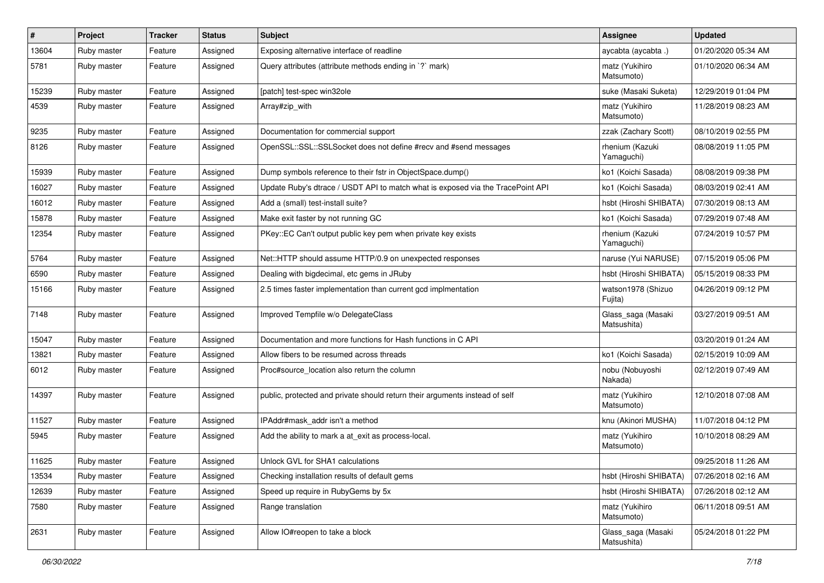| $\sharp$ | Project     | <b>Tracker</b> | <b>Status</b> | Subject                                                                         | Assignee                          | <b>Updated</b>      |
|----------|-------------|----------------|---------------|---------------------------------------------------------------------------------|-----------------------------------|---------------------|
| 13604    | Ruby master | Feature        | Assigned      | Exposing alternative interface of readline                                      | aycabta (aycabta .)               | 01/20/2020 05:34 AM |
| 5781     | Ruby master | Feature        | Assigned      | Query attributes (attribute methods ending in `?` mark)                         | matz (Yukihiro<br>Matsumoto)      | 01/10/2020 06:34 AM |
| 15239    | Ruby master | Feature        | Assigned      | [patch] test-spec win32ole                                                      | suke (Masaki Suketa)              | 12/29/2019 01:04 PM |
| 4539     | Ruby master | Feature        | Assigned      | Array#zip_with                                                                  | matz (Yukihiro<br>Matsumoto)      | 11/28/2019 08:23 AM |
| 9235     | Ruby master | Feature        | Assigned      | Documentation for commercial support                                            | zzak (Zachary Scott)              | 08/10/2019 02:55 PM |
| 8126     | Ruby master | Feature        | Assigned      | OpenSSL::SSL::SSLSocket does not define #recv and #send messages                | rhenium (Kazuki<br>Yamaguchi)     | 08/08/2019 11:05 PM |
| 15939    | Ruby master | Feature        | Assigned      | Dump symbols reference to their fstr in ObjectSpace.dump()                      | ko1 (Koichi Sasada)               | 08/08/2019 09:38 PM |
| 16027    | Ruby master | Feature        | Assigned      | Update Ruby's dtrace / USDT API to match what is exposed via the TracePoint API | ko1 (Koichi Sasada)               | 08/03/2019 02:41 AM |
| 16012    | Ruby master | Feature        | Assigned      | Add a (small) test-install suite?                                               | hsbt (Hiroshi SHIBATA)            | 07/30/2019 08:13 AM |
| 15878    | Ruby master | Feature        | Assigned      | Make exit faster by not running GC                                              | ko1 (Koichi Sasada)               | 07/29/2019 07:48 AM |
| 12354    | Ruby master | Feature        | Assigned      | PKey::EC Can't output public key pem when private key exists                    | rhenium (Kazuki<br>Yamaguchi)     | 07/24/2019 10:57 PM |
| 5764     | Ruby master | Feature        | Assigned      | Net::HTTP should assume HTTP/0.9 on unexpected responses                        | naruse (Yui NARUSE)               | 07/15/2019 05:06 PM |
| 6590     | Ruby master | Feature        | Assigned      | Dealing with bigdecimal, etc gems in JRuby                                      | hsbt (Hiroshi SHIBATA)            | 05/15/2019 08:33 PM |
| 15166    | Ruby master | Feature        | Assigned      | 2.5 times faster implementation than current gcd implmentation                  | watson1978 (Shizuo<br>Fujita)     | 04/26/2019 09:12 PM |
| 7148     | Ruby master | Feature        | Assigned      | Improved Tempfile w/o DelegateClass                                             | Glass_saga (Masaki<br>Matsushita) | 03/27/2019 09:51 AM |
| 15047    | Ruby master | Feature        | Assigned      | Documentation and more functions for Hash functions in C API                    |                                   | 03/20/2019 01:24 AM |
| 13821    | Ruby master | Feature        | Assigned      | Allow fibers to be resumed across threads                                       | ko1 (Koichi Sasada)               | 02/15/2019 10:09 AM |
| 6012     | Ruby master | Feature        | Assigned      | Proc#source_location also return the column                                     | nobu (Nobuyoshi<br>Nakada)        | 02/12/2019 07:49 AM |
| 14397    | Ruby master | Feature        | Assigned      | public, protected and private should return their arguments instead of self     | matz (Yukihiro<br>Matsumoto)      | 12/10/2018 07:08 AM |
| 11527    | Ruby master | Feature        | Assigned      | IPAddr#mask addr isn't a method                                                 | knu (Akinori MUSHA)               | 11/07/2018 04:12 PM |
| 5945     | Ruby master | Feature        | Assigned      | Add the ability to mark a at_exit as process-local.                             | matz (Yukihiro<br>Matsumoto)      | 10/10/2018 08:29 AM |
| 11625    | Ruby master | Feature        | Assigned      | Unlock GVL for SHA1 calculations                                                |                                   | 09/25/2018 11:26 AM |
| 13534    | Ruby master | Feature        | Assigned      | Checking installation results of default gems                                   | hsbt (Hiroshi SHIBATA)            | 07/26/2018 02:16 AM |
| 12639    | Ruby master | Feature        | Assigned      | Speed up require in RubyGems by 5x                                              | hsbt (Hiroshi SHIBATA)            | 07/26/2018 02:12 AM |
| 7580     | Ruby master | Feature        | Assigned      | Range translation                                                               | matz (Yukihiro<br>Matsumoto)      | 06/11/2018 09:51 AM |
| 2631     | Ruby master | Feature        | Assigned      | Allow IO#reopen to take a block                                                 | Glass_saga (Masaki<br>Matsushita) | 05/24/2018 01:22 PM |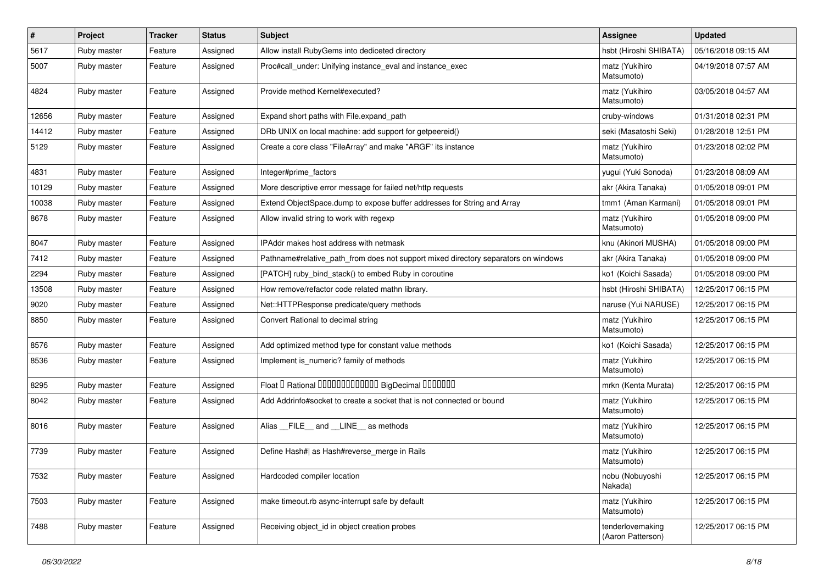| $\vert$ # | Project     | <b>Tracker</b> | <b>Status</b> | Subject                                                                            | Assignee                              | <b>Updated</b>      |
|-----------|-------------|----------------|---------------|------------------------------------------------------------------------------------|---------------------------------------|---------------------|
| 5617      | Ruby master | Feature        | Assigned      | Allow install RubyGems into dediceted directory                                    | hsbt (Hiroshi SHIBATA)                | 05/16/2018 09:15 AM |
| 5007      | Ruby master | Feature        | Assigned      | Proc#call_under: Unifying instance_eval and instance_exec                          | matz (Yukihiro<br>Matsumoto)          | 04/19/2018 07:57 AM |
| 4824      | Ruby master | Feature        | Assigned      | Provide method Kernel#executed?                                                    | matz (Yukihiro<br>Matsumoto)          | 03/05/2018 04:57 AM |
| 12656     | Ruby master | Feature        | Assigned      | Expand short paths with File.expand_path                                           | cruby-windows                         | 01/31/2018 02:31 PM |
| 14412     | Ruby master | Feature        | Assigned      | DRb UNIX on local machine: add support for getpeereid()                            | seki (Masatoshi Seki)                 | 01/28/2018 12:51 PM |
| 5129      | Ruby master | Feature        | Assigned      | Create a core class "FileArray" and make "ARGF" its instance                       | matz (Yukihiro<br>Matsumoto)          | 01/23/2018 02:02 PM |
| 4831      | Ruby master | Feature        | Assigned      | Integer#prime_factors                                                              | yugui (Yuki Sonoda)                   | 01/23/2018 08:09 AM |
| 10129     | Ruby master | Feature        | Assigned      | More descriptive error message for failed net/http requests                        | akr (Akira Tanaka)                    | 01/05/2018 09:01 PM |
| 10038     | Ruby master | Feature        | Assigned      | Extend ObjectSpace.dump to expose buffer addresses for String and Array            | tmm1 (Aman Karmani)                   | 01/05/2018 09:01 PM |
| 8678      | Ruby master | Feature        | Assigned      | Allow invalid string to work with regexp                                           | matz (Yukihiro<br>Matsumoto)          | 01/05/2018 09:00 PM |
| 8047      | Ruby master | Feature        | Assigned      | IPAddr makes host address with netmask                                             | knu (Akinori MUSHA)                   | 01/05/2018 09:00 PM |
| 7412      | Ruby master | Feature        | Assigned      | Pathname#relative_path_from does not support mixed directory separators on windows | akr (Akira Tanaka)                    | 01/05/2018 09:00 PM |
| 2294      | Ruby master | Feature        | Assigned      | [PATCH] ruby_bind_stack() to embed Ruby in coroutine                               | ko1 (Koichi Sasada)                   | 01/05/2018 09:00 PM |
| 13508     | Ruby master | Feature        | Assigned      | How remove/refactor code related mathn library.                                    | hsbt (Hiroshi SHIBATA)                | 12/25/2017 06:15 PM |
| 9020      | Ruby master | Feature        | Assigned      | Net::HTTPResponse predicate/query methods                                          | naruse (Yui NARUSE)                   | 12/25/2017 06:15 PM |
| 8850      | Ruby master | Feature        | Assigned      | Convert Rational to decimal string                                                 | matz (Yukihiro<br>Matsumoto)          | 12/25/2017 06:15 PM |
| 8576      | Ruby master | Feature        | Assigned      | Add optimized method type for constant value methods                               | ko1 (Koichi Sasada)                   | 12/25/2017 06:15 PM |
| 8536      | Ruby master | Feature        | Assigned      | Implement is_numeric? family of methods                                            | matz (Yukihiro<br>Matsumoto)          | 12/25/2017 06:15 PM |
| 8295      | Ruby master | Feature        | Assigned      | Float I Rational 0000000000000 BigDecimal 0000000                                  | mrkn (Kenta Murata)                   | 12/25/2017 06:15 PM |
| 8042      | Ruby master | Feature        | Assigned      | Add Addrinfo#socket to create a socket that is not connected or bound              | matz (Yukihiro<br>Matsumoto)          | 12/25/2017 06:15 PM |
| 8016      | Ruby master | Feature        | Assigned      | Alias FILE and LINE as methods                                                     | matz (Yukihiro<br>Matsumoto)          | 12/25/2017 06:15 PM |
| 7739      | Ruby master | Feature        | Assigned      | Define Hash#  as Hash#reverse_merge in Rails                                       | matz (Yukihiro<br>Matsumoto)          | 12/25/2017 06:15 PM |
| 7532      | Ruby master | Feature        | Assigned      | Hardcoded compiler location                                                        | nobu (Nobuyoshi<br>Nakada)            | 12/25/2017 06:15 PM |
| 7503      | Ruby master | Feature        | Assigned      | make timeout.rb async-interrupt safe by default                                    | matz (Yukihiro<br>Matsumoto)          | 12/25/2017 06:15 PM |
| 7488      | Ruby master | Feature        | Assigned      | Receiving object_id in object creation probes                                      | tenderlovemaking<br>(Aaron Patterson) | 12/25/2017 06:15 PM |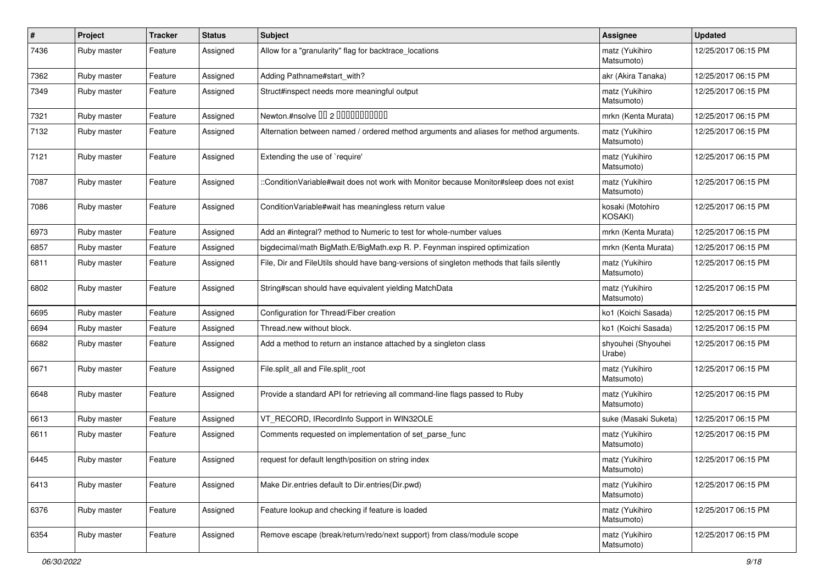| $\vert$ # | Project     | <b>Tracker</b> | <b>Status</b> | Subject                                                                                    | <b>Assignee</b>              | <b>Updated</b>      |
|-----------|-------------|----------------|---------------|--------------------------------------------------------------------------------------------|------------------------------|---------------------|
| 7436      | Ruby master | Feature        | Assigned      | Allow for a "granularity" flag for backtrace_locations                                     | matz (Yukihiro<br>Matsumoto) | 12/25/2017 06:15 PM |
| 7362      | Ruby master | Feature        | Assigned      | Adding Pathname#start_with?                                                                | akr (Akira Tanaka)           | 12/25/2017 06:15 PM |
| 7349      | Ruby master | Feature        | Assigned      | Struct#inspect needs more meaningful output                                                | matz (Yukihiro<br>Matsumoto) | 12/25/2017 06:15 PM |
| 7321      | Ruby master | Feature        | Assigned      | Newton.#nsolve 00 2 00000000000                                                            | mrkn (Kenta Murata)          | 12/25/2017 06:15 PM |
| 7132      | Ruby master | Feature        | Assigned      | Alternation between named / ordered method arguments and aliases for method arguments.     | matz (Yukihiro<br>Matsumoto) | 12/25/2017 06:15 PM |
| 7121      | Ruby master | Feature        | Assigned      | Extending the use of `require'                                                             | matz (Yukihiro<br>Matsumoto) | 12/25/2017 06:15 PM |
| 7087      | Ruby master | Feature        | Assigned      | ::ConditionVariable#wait does not work with Monitor because Monitor#sleep does not exist   | matz (Yukihiro<br>Matsumoto) | 12/25/2017 06:15 PM |
| 7086      | Ruby master | Feature        | Assigned      | Condition Variable#wait has meaningless return value                                       | kosaki (Motohiro<br>KOSAKI)  | 12/25/2017 06:15 PM |
| 6973      | Ruby master | Feature        | Assigned      | Add an #integral? method to Numeric to test for whole-number values                        | mrkn (Kenta Murata)          | 12/25/2017 06:15 PM |
| 6857      | Ruby master | Feature        | Assigned      | bigdecimal/math BigMath.E/BigMath.exp R. P. Feynman inspired optimization                  | mrkn (Kenta Murata)          | 12/25/2017 06:15 PM |
| 6811      | Ruby master | Feature        | Assigned      | File, Dir and FileUtils should have bang-versions of singleton methods that fails silently | matz (Yukihiro<br>Matsumoto) | 12/25/2017 06:15 PM |
| 6802      | Ruby master | Feature        | Assigned      | String#scan should have equivalent yielding MatchData                                      | matz (Yukihiro<br>Matsumoto) | 12/25/2017 06:15 PM |
| 6695      | Ruby master | Feature        | Assigned      | Configuration for Thread/Fiber creation                                                    | ko1 (Koichi Sasada)          | 12/25/2017 06:15 PM |
| 6694      | Ruby master | Feature        | Assigned      | Thread.new without block.                                                                  | ko1 (Koichi Sasada)          | 12/25/2017 06:15 PM |
| 6682      | Ruby master | Feature        | Assigned      | Add a method to return an instance attached by a singleton class                           | shyouhei (Shyouhei<br>Urabe) | 12/25/2017 06:15 PM |
| 6671      | Ruby master | Feature        | Assigned      | File.split all and File.split root                                                         | matz (Yukihiro<br>Matsumoto) | 12/25/2017 06:15 PM |
| 6648      | Ruby master | Feature        | Assigned      | Provide a standard API for retrieving all command-line flags passed to Ruby                | matz (Yukihiro<br>Matsumoto) | 12/25/2017 06:15 PM |
| 6613      | Ruby master | Feature        | Assigned      | VT_RECORD, IRecordInfo Support in WIN32OLE                                                 | suke (Masaki Suketa)         | 12/25/2017 06:15 PM |
| 6611      | Ruby master | Feature        | Assigned      | Comments requested on implementation of set_parse_func                                     | matz (Yukihiro<br>Matsumoto) | 12/25/2017 06:15 PM |
| 6445      | Ruby master | Feature        | Assigned      | request for default length/position on string index                                        | matz (Yukihiro<br>Matsumoto) | 12/25/2017 06:15 PM |
| 6413      | Ruby master | Feature        | Assigned      | Make Dir.entries default to Dir.entries(Dir.pwd)                                           | matz (Yukihiro<br>Matsumoto) | 12/25/2017 06:15 PM |
| 6376      | Ruby master | Feature        | Assigned      | Feature lookup and checking if feature is loaded                                           | matz (Yukihiro<br>Matsumoto) | 12/25/2017 06:15 PM |
| 6354      | Ruby master | Feature        | Assigned      | Remove escape (break/return/redo/next support) from class/module scope                     | matz (Yukihiro<br>Matsumoto) | 12/25/2017 06:15 PM |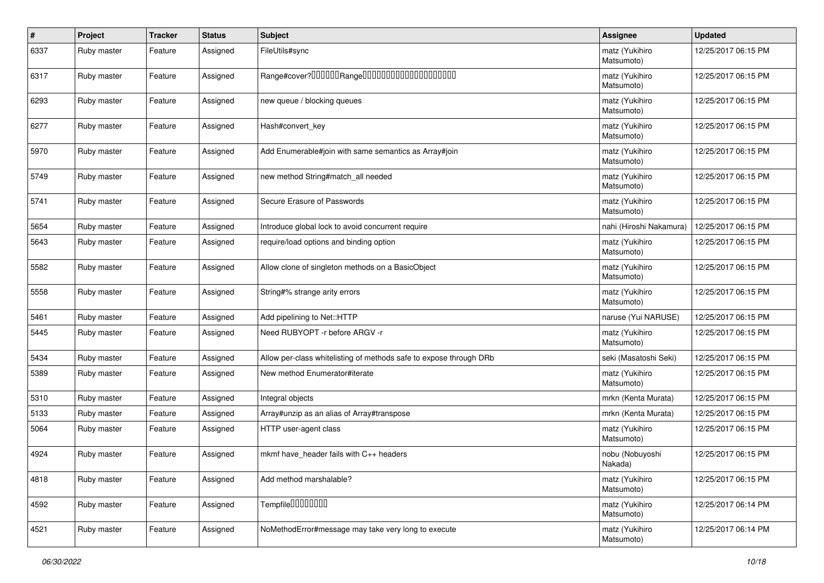| $\vert$ # | Project     | <b>Tracker</b> | <b>Status</b> | <b>Subject</b>                                                     | Assignee                     | <b>Updated</b>      |
|-----------|-------------|----------------|---------------|--------------------------------------------------------------------|------------------------------|---------------------|
| 6337      | Ruby master | Feature        | Assigned      | FileUtils#sync                                                     | matz (Yukihiro<br>Matsumoto) | 12/25/2017 06:15 PM |
| 6317      | Ruby master | Feature        | Assigned      |                                                                    | matz (Yukihiro<br>Matsumoto) | 12/25/2017 06:15 PM |
| 6293      | Ruby master | Feature        | Assigned      | new queue / blocking queues                                        | matz (Yukihiro<br>Matsumoto) | 12/25/2017 06:15 PM |
| 6277      | Ruby master | Feature        | Assigned      | Hash#convert_key                                                   | matz (Yukihiro<br>Matsumoto) | 12/25/2017 06:15 PM |
| 5970      | Ruby master | Feature        | Assigned      | Add Enumerable#join with same semantics as Array#join              | matz (Yukihiro<br>Matsumoto) | 12/25/2017 06:15 PM |
| 5749      | Ruby master | Feature        | Assigned      | new method String#match_all needed                                 | matz (Yukihiro<br>Matsumoto) | 12/25/2017 06:15 PM |
| 5741      | Ruby master | Feature        | Assigned      | Secure Erasure of Passwords                                        | matz (Yukihiro<br>Matsumoto) | 12/25/2017 06:15 PM |
| 5654      | Ruby master | Feature        | Assigned      | Introduce global lock to avoid concurrent require                  | nahi (Hiroshi Nakamura)      | 12/25/2017 06:15 PM |
| 5643      | Ruby master | Feature        | Assigned      | require/load options and binding option                            | matz (Yukihiro<br>Matsumoto) | 12/25/2017 06:15 PM |
| 5582      | Ruby master | Feature        | Assigned      | Allow clone of singleton methods on a BasicObject                  | matz (Yukihiro<br>Matsumoto) | 12/25/2017 06:15 PM |
| 5558      | Ruby master | Feature        | Assigned      | String#% strange arity errors                                      | matz (Yukihiro<br>Matsumoto) | 12/25/2017 06:15 PM |
| 5461      | Ruby master | Feature        | Assigned      | Add pipelining to Net::HTTP                                        | naruse (Yui NARUSE)          | 12/25/2017 06:15 PM |
| 5445      | Ruby master | Feature        | Assigned      | Need RUBYOPT - r before ARGV - r                                   | matz (Yukihiro<br>Matsumoto) | 12/25/2017 06:15 PM |
| 5434      | Ruby master | Feature        | Assigned      | Allow per-class whitelisting of methods safe to expose through DRb | seki (Masatoshi Seki)        | 12/25/2017 06:15 PM |
| 5389      | Ruby master | Feature        | Assigned      | New method Enumerator#iterate                                      | matz (Yukihiro<br>Matsumoto) | 12/25/2017 06:15 PM |
| 5310      | Ruby master | Feature        | Assigned      | Integral objects                                                   | mrkn (Kenta Murata)          | 12/25/2017 06:15 PM |
| 5133      | Ruby master | Feature        | Assigned      | Array#unzip as an alias of Array#transpose                         | mrkn (Kenta Murata)          | 12/25/2017 06:15 PM |
| 5064      | Ruby master | Feature        | Assigned      | HTTP user-agent class                                              | matz (Yukihiro<br>Matsumoto) | 12/25/2017 06:15 PM |
| 4924      | Ruby master | Feature        | Assigned      | mkmf have_header fails with C++ headers                            | nobu (Nobuyoshi<br>Nakada)   | 12/25/2017 06:15 PM |
| 4818      | Ruby master | Feature        | Assigned      | Add method marshalable?                                            | matz (Yukihiro<br>Matsumoto) | 12/25/2017 06:15 PM |
| 4592      | Ruby master | Feature        | Assigned      | Tempfile0000000                                                    | matz (Yukihiro<br>Matsumoto) | 12/25/2017 06:14 PM |
| 4521      | Ruby master | Feature        | Assigned      | NoMethodError#message may take very long to execute                | matz (Yukihiro<br>Matsumoto) | 12/25/2017 06:14 PM |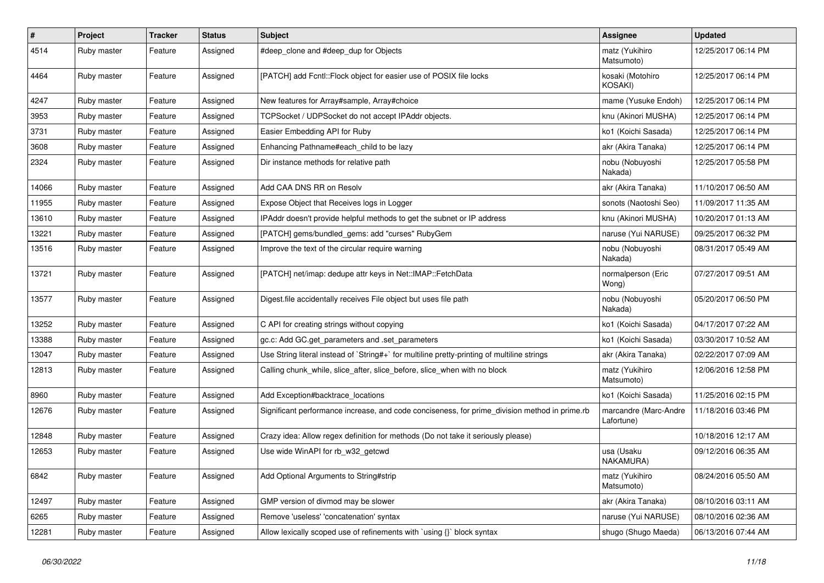| $\sharp$ | Project     | <b>Tracker</b> | <b>Status</b> | Subject                                                                                       | <b>Assignee</b>                     | <b>Updated</b>      |
|----------|-------------|----------------|---------------|-----------------------------------------------------------------------------------------------|-------------------------------------|---------------------|
| 4514     | Ruby master | Feature        | Assigned      | #deep clone and #deep dup for Objects                                                         | matz (Yukihiro<br>Matsumoto)        | 12/25/2017 06:14 PM |
| 4464     | Ruby master | Feature        | Assigned      | [PATCH] add Fcntl::Flock object for easier use of POSIX file locks                            | kosaki (Motohiro<br>KOSAKI)         | 12/25/2017 06:14 PM |
| 4247     | Ruby master | Feature        | Assigned      | New features for Array#sample, Array#choice                                                   | mame (Yusuke Endoh)                 | 12/25/2017 06:14 PM |
| 3953     | Ruby master | Feature        | Assigned      | TCPSocket / UDPSocket do not accept IPAddr objects.                                           | knu (Akinori MUSHA)                 | 12/25/2017 06:14 PM |
| 3731     | Ruby master | Feature        | Assigned      | Easier Embedding API for Ruby                                                                 | ko1 (Koichi Sasada)                 | 12/25/2017 06:14 PM |
| 3608     | Ruby master | Feature        | Assigned      | Enhancing Pathname#each_child to be lazy                                                      | akr (Akira Tanaka)                  | 12/25/2017 06:14 PM |
| 2324     | Ruby master | Feature        | Assigned      | Dir instance methods for relative path                                                        | nobu (Nobuyoshi<br>Nakada)          | 12/25/2017 05:58 PM |
| 14066    | Ruby master | Feature        | Assigned      | Add CAA DNS RR on Resolv                                                                      | akr (Akira Tanaka)                  | 11/10/2017 06:50 AM |
| 11955    | Ruby master | Feature        | Assigned      | Expose Object that Receives logs in Logger                                                    | sonots (Naotoshi Seo)               | 11/09/2017 11:35 AM |
| 13610    | Ruby master | Feature        | Assigned      | IPAddr doesn't provide helpful methods to get the subnet or IP address                        | knu (Akinori MUSHA)                 | 10/20/2017 01:13 AM |
| 13221    | Ruby master | Feature        | Assigned      | [PATCH] gems/bundled_gems: add "curses" RubyGem                                               | naruse (Yui NARUSE)                 | 09/25/2017 06:32 PM |
| 13516    | Ruby master | Feature        | Assigned      | Improve the text of the circular require warning                                              | nobu (Nobuyoshi<br>Nakada)          | 08/31/2017 05:49 AM |
| 13721    | Ruby master | Feature        | Assigned      | [PATCH] net/imap: dedupe attr keys in Net::IMAP::FetchData                                    | normalperson (Eric<br>Wong)         | 07/27/2017 09:51 AM |
| 13577    | Ruby master | Feature        | Assigned      | Digest file accidentally receives File object but uses file path                              | nobu (Nobuyoshi<br>Nakada)          | 05/20/2017 06:50 PM |
| 13252    | Ruby master | Feature        | Assigned      | C API for creating strings without copying                                                    | ko1 (Koichi Sasada)                 | 04/17/2017 07:22 AM |
| 13388    | Ruby master | Feature        | Assigned      | gc.c: Add GC.get_parameters and .set_parameters                                               | ko1 (Koichi Sasada)                 | 03/30/2017 10:52 AM |
| 13047    | Ruby master | Feature        | Assigned      | Use String literal instead of `String#+` for multiline pretty-printing of multiline strings   | akr (Akira Tanaka)                  | 02/22/2017 07:09 AM |
| 12813    | Ruby master | Feature        | Assigned      | Calling chunk_while, slice_after, slice_before, slice_when with no block                      | matz (Yukihiro<br>Matsumoto)        | 12/06/2016 12:58 PM |
| 8960     | Ruby master | Feature        | Assigned      | Add Exception#backtrace_locations                                                             | ko1 (Koichi Sasada)                 | 11/25/2016 02:15 PM |
| 12676    | Ruby master | Feature        | Assigned      | Significant performance increase, and code conciseness, for prime_division method in prime.rb | marcandre (Marc-Andre<br>Lafortune) | 11/18/2016 03:46 PM |
| 12848    | Ruby master | Feature        | Assigned      | Crazy idea: Allow regex definition for methods (Do not take it seriously please)              |                                     | 10/18/2016 12:17 AM |
| 12653    | Ruby master | Feature        | Assigned      | Use wide WinAPI for rb_w32_getcwd                                                             | usa (Usaku<br>NAKAMURA)             | 09/12/2016 06:35 AM |
| 6842     | Ruby master | Feature        | Assigned      | Add Optional Arguments to String#strip                                                        | matz (Yukihiro<br>Matsumoto)        | 08/24/2016 05:50 AM |
| 12497    | Ruby master | Feature        | Assigned      | GMP version of divmod may be slower                                                           | akr (Akira Tanaka)                  | 08/10/2016 03:11 AM |
| 6265     | Ruby master | Feature        | Assigned      | Remove 'useless' 'concatenation' syntax                                                       | naruse (Yui NARUSE)                 | 08/10/2016 02:36 AM |
| 12281    | Ruby master | Feature        | Assigned      | Allow lexically scoped use of refinements with `using {}` block syntax                        | shugo (Shugo Maeda)                 | 06/13/2016 07:44 AM |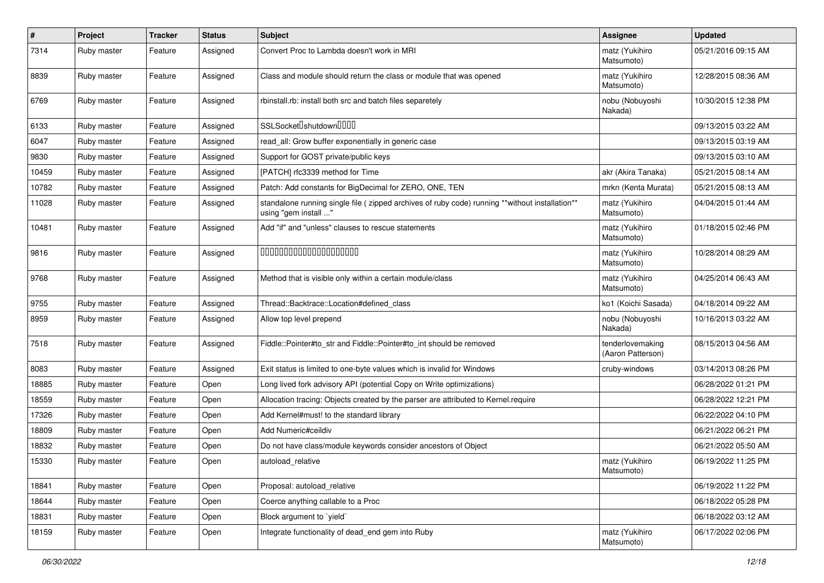| $\sharp$ | Project     | <b>Tracker</b> | <b>Status</b> | Subject                                                                                                                 | Assignee                              | <b>Updated</b>      |
|----------|-------------|----------------|---------------|-------------------------------------------------------------------------------------------------------------------------|---------------------------------------|---------------------|
| 7314     | Ruby master | Feature        | Assigned      | Convert Proc to Lambda doesn't work in MRI                                                                              | matz (Yukihiro<br>Matsumoto)          | 05/21/2016 09:15 AM |
| 8839     | Ruby master | Feature        | Assigned      | Class and module should return the class or module that was opened                                                      | matz (Yukihiro<br>Matsumoto)          | 12/28/2015 08:36 AM |
| 6769     | Ruby master | Feature        | Assigned      | rbinstall.rb: install both src and batch files separetely                                                               | nobu (Nobuyoshi<br>Nakada)            | 10/30/2015 12:38 PM |
| 6133     | Ruby master | Feature        | Assigned      | SSLSocket <sup>[]</sup> shutdown <sup>[][]</sup>                                                                        |                                       | 09/13/2015 03:22 AM |
| 6047     | Ruby master | Feature        | Assigned      | read all: Grow buffer exponentially in generic case                                                                     |                                       | 09/13/2015 03:19 AM |
| 9830     | Ruby master | Feature        | Assigned      | Support for GOST private/public keys                                                                                    |                                       | 09/13/2015 03:10 AM |
| 10459    | Ruby master | Feature        | Assigned      | [PATCH] rfc3339 method for Time                                                                                         | akr (Akira Tanaka)                    | 05/21/2015 08:14 AM |
| 10782    | Ruby master | Feature        | Assigned      | Patch: Add constants for BigDecimal for ZERO, ONE, TEN                                                                  | mrkn (Kenta Murata)                   | 05/21/2015 08:13 AM |
| 11028    | Ruby master | Feature        | Assigned      | standalone running single file ( zipped archives of ruby code) running **without installation**<br>using "gem install " | matz (Yukihiro<br>Matsumoto)          | 04/04/2015 01:44 AM |
| 10481    | Ruby master | Feature        | Assigned      | Add "if" and "unless" clauses to rescue statements                                                                      | matz (Yukihiro<br>Matsumoto)          | 01/18/2015 02:46 PM |
| 9816     | Ruby master | Feature        | Assigned      | 00000000000000000000                                                                                                    | matz (Yukihiro<br>Matsumoto)          | 10/28/2014 08:29 AM |
| 9768     | Ruby master | Feature        | Assigned      | Method that is visible only within a certain module/class                                                               | matz (Yukihiro<br>Matsumoto)          | 04/25/2014 06:43 AM |
| 9755     | Ruby master | Feature        | Assigned      | Thread::Backtrace::Location#defined_class                                                                               | ko1 (Koichi Sasada)                   | 04/18/2014 09:22 AM |
| 8959     | Ruby master | Feature        | Assigned      | Allow top level prepend                                                                                                 | nobu (Nobuyoshi<br>Nakada)            | 10/16/2013 03:22 AM |
| 7518     | Ruby master | Feature        | Assigned      | Fiddle::Pointer#to str and Fiddle::Pointer#to int should be removed                                                     | tenderlovemaking<br>(Aaron Patterson) | 08/15/2013 04:56 AM |
| 8083     | Ruby master | Feature        | Assigned      | Exit status is limited to one-byte values which is invalid for Windows                                                  | cruby-windows                         | 03/14/2013 08:26 PM |
| 18885    | Ruby master | Feature        | Open          | Long lived fork advisory API (potential Copy on Write optimizations)                                                    |                                       | 06/28/2022 01:21 PM |
| 18559    | Ruby master | Feature        | Open          | Allocation tracing: Objects created by the parser are attributed to Kernel.require                                      |                                       | 06/28/2022 12:21 PM |
| 17326    | Ruby master | Feature        | Open          | Add Kernel#must! to the standard library                                                                                |                                       | 06/22/2022 04:10 PM |
| 18809    | Ruby master | Feature        | Open          | Add Numeric#ceildiv                                                                                                     |                                       | 06/21/2022 06:21 PM |
| 18832    | Ruby master | Feature        | Open          | Do not have class/module keywords consider ancestors of Object                                                          |                                       | 06/21/2022 05:50 AM |
| 15330    | Ruby master | Feature        | Open          | autoload relative                                                                                                       | matz (Yukihiro<br>Matsumoto)          | 06/19/2022 11:25 PM |
| 18841    | Ruby master | Feature        | Open          | Proposal: autoload_relative                                                                                             |                                       | 06/19/2022 11:22 PM |
| 18644    | Ruby master | Feature        | Open          | Coerce anything callable to a Proc                                                                                      |                                       | 06/18/2022 05:28 PM |
| 18831    | Ruby master | Feature        | Open          | Block argument to 'yield'                                                                                               |                                       | 06/18/2022 03:12 AM |
| 18159    | Ruby master | Feature        | Open          | Integrate functionality of dead_end gem into Ruby                                                                       | matz (Yukihiro<br>Matsumoto)          | 06/17/2022 02:06 PM |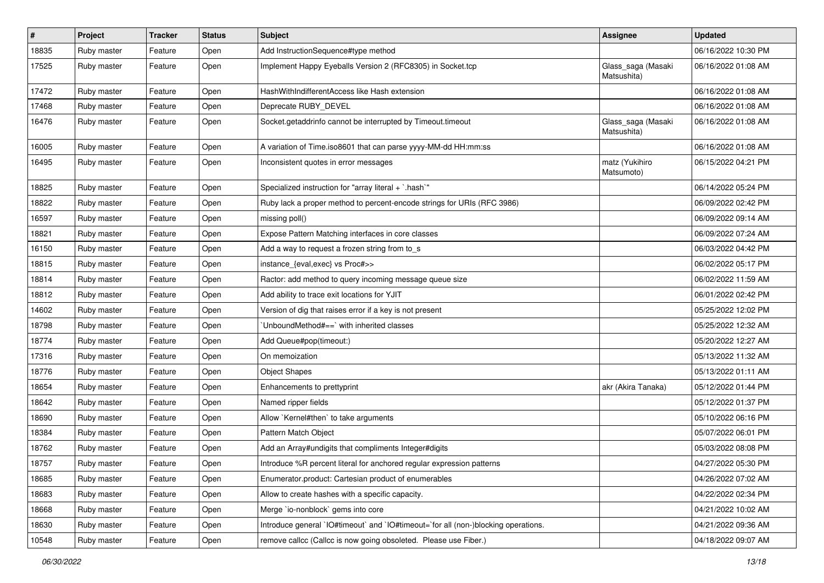| #     | Project     | <b>Tracker</b> | <b>Status</b> | Subject                                                                            | Assignee                          | <b>Updated</b>      |
|-------|-------------|----------------|---------------|------------------------------------------------------------------------------------|-----------------------------------|---------------------|
| 18835 | Ruby master | Feature        | Open          | Add InstructionSequence#type method                                                |                                   | 06/16/2022 10:30 PM |
| 17525 | Ruby master | Feature        | Open          | Implement Happy Eyeballs Version 2 (RFC8305) in Socket.tcp                         | Glass_saga (Masaki<br>Matsushita) | 06/16/2022 01:08 AM |
| 17472 | Ruby master | Feature        | Open          | HashWithIndifferentAccess like Hash extension                                      |                                   | 06/16/2022 01:08 AM |
| 17468 | Ruby master | Feature        | Open          | Deprecate RUBY_DEVEL                                                               |                                   | 06/16/2022 01:08 AM |
| 16476 | Ruby master | Feature        | Open          | Socket.getaddrinfo cannot be interrupted by Timeout.timeout                        | Glass_saga (Masaki<br>Matsushita) | 06/16/2022 01:08 AM |
| 16005 | Ruby master | Feature        | Open          | A variation of Time.iso8601 that can parse yyyy-MM-dd HH:mm:ss                     |                                   | 06/16/2022 01:08 AM |
| 16495 | Ruby master | Feature        | Open          | Inconsistent quotes in error messages                                              | matz (Yukihiro<br>Matsumoto)      | 06/15/2022 04:21 PM |
| 18825 | Ruby master | Feature        | Open          | Specialized instruction for "array literal + `.hash`"                              |                                   | 06/14/2022 05:24 PM |
| 18822 | Ruby master | Feature        | Open          | Ruby lack a proper method to percent-encode strings for URIs (RFC 3986)            |                                   | 06/09/2022 02:42 PM |
| 16597 | Ruby master | Feature        | Open          | missing poll()                                                                     |                                   | 06/09/2022 09:14 AM |
| 18821 | Ruby master | Feature        | Open          | Expose Pattern Matching interfaces in core classes                                 |                                   | 06/09/2022 07:24 AM |
| 16150 | Ruby master | Feature        | Open          | Add a way to request a frozen string from to_s                                     |                                   | 06/03/2022 04:42 PM |
| 18815 | Ruby master | Feature        | Open          | instance_{eval,exec} vs Proc#>>                                                    |                                   | 06/02/2022 05:17 PM |
| 18814 | Ruby master | Feature        | Open          | Ractor: add method to query incoming message queue size                            |                                   | 06/02/2022 11:59 AM |
| 18812 | Ruby master | Feature        | Open          | Add ability to trace exit locations for YJIT                                       |                                   | 06/01/2022 02:42 PM |
| 14602 | Ruby master | Feature        | Open          | Version of dig that raises error if a key is not present                           |                                   | 05/25/2022 12:02 PM |
| 18798 | Ruby master | Feature        | Open          | UnboundMethod#==`with inherited classes                                            |                                   | 05/25/2022 12:32 AM |
| 18774 | Ruby master | Feature        | Open          | Add Queue#pop(timeout:)                                                            |                                   | 05/20/2022 12:27 AM |
| 17316 | Ruby master | Feature        | Open          | On memoization                                                                     |                                   | 05/13/2022 11:32 AM |
| 18776 | Ruby master | Feature        | Open          | <b>Object Shapes</b>                                                               |                                   | 05/13/2022 01:11 AM |
| 18654 | Ruby master | Feature        | Open          | Enhancements to prettyprint                                                        | akr (Akira Tanaka)                | 05/12/2022 01:44 PM |
| 18642 | Ruby master | Feature        | Open          | Named ripper fields                                                                |                                   | 05/12/2022 01:37 PM |
| 18690 | Ruby master | Feature        | Open          | Allow `Kernel#then` to take arguments                                              |                                   | 05/10/2022 06:16 PM |
| 18384 | Ruby master | Feature        | Open          | Pattern Match Object                                                               |                                   | 05/07/2022 06:01 PM |
| 18762 | Ruby master | Feature        | Open          | Add an Array#undigits that compliments Integer#digits                              |                                   | 05/03/2022 08:08 PM |
| 18757 | Ruby master | Feature        | Open          | Introduce %R percent literal for anchored regular expression patterns              |                                   | 04/27/2022 05:30 PM |
| 18685 | Ruby master | Feature        | Open          | Enumerator.product: Cartesian product of enumerables                               |                                   | 04/26/2022 07:02 AM |
| 18683 | Ruby master | Feature        | Open          | Allow to create hashes with a specific capacity.                                   |                                   | 04/22/2022 02:34 PM |
| 18668 | Ruby master | Feature        | Open          | Merge `io-nonblock` gems into core                                                 |                                   | 04/21/2022 10:02 AM |
| 18630 | Ruby master | Feature        | Open          | Introduce general `IO#timeout` and `IO#timeout=`for all (non-)blocking operations. |                                   | 04/21/2022 09:36 AM |
| 10548 | Ruby master | Feature        | Open          | remove callcc (Callcc is now going obsoleted. Please use Fiber.)                   |                                   | 04/18/2022 09:07 AM |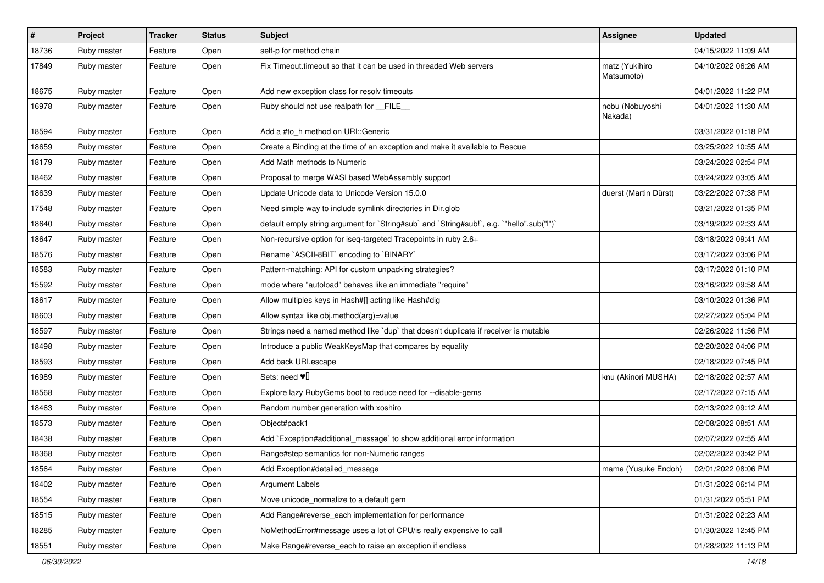| $\pmb{\#}$ | Project     | <b>Tracker</b> | <b>Status</b> | <b>Subject</b>                                                                            | Assignee                     | <b>Updated</b>      |
|------------|-------------|----------------|---------------|-------------------------------------------------------------------------------------------|------------------------------|---------------------|
| 18736      | Ruby master | Feature        | Open          | self-p for method chain                                                                   |                              | 04/15/2022 11:09 AM |
| 17849      | Ruby master | Feature        | Open          | Fix Timeout.timeout so that it can be used in threaded Web servers                        | matz (Yukihiro<br>Matsumoto) | 04/10/2022 06:26 AM |
| 18675      | Ruby master | Feature        | Open          | Add new exception class for resolv timeouts                                               |                              | 04/01/2022 11:22 PM |
| 16978      | Ruby master | Feature        | Open          | Ruby should not use realpath for FILE                                                     | nobu (Nobuyoshi<br>Nakada)   | 04/01/2022 11:30 AM |
| 18594      | Ruby master | Feature        | Open          | Add a #to_h method on URI::Generic                                                        |                              | 03/31/2022 01:18 PM |
| 18659      | Ruby master | Feature        | Open          | Create a Binding at the time of an exception and make it available to Rescue              |                              | 03/25/2022 10:55 AM |
| 18179      | Ruby master | Feature        | Open          | Add Math methods to Numeric                                                               |                              | 03/24/2022 02:54 PM |
| 18462      | Ruby master | Feature        | Open          | Proposal to merge WASI based WebAssembly support                                          |                              | 03/24/2022 03:05 AM |
| 18639      | Ruby master | Feature        | Open          | Update Unicode data to Unicode Version 15.0.0                                             | duerst (Martin Dürst)        | 03/22/2022 07:38 PM |
| 17548      | Ruby master | Feature        | Open          | Need simple way to include symlink directories in Dir.glob                                |                              | 03/21/2022 01:35 PM |
| 18640      | Ruby master | Feature        | Open          | default empty string argument for `String#sub` and `String#sub!`, e.g. `"hello".sub("I")` |                              | 03/19/2022 02:33 AM |
| 18647      | Ruby master | Feature        | Open          | Non-recursive option for iseq-targeted Tracepoints in ruby 2.6+                           |                              | 03/18/2022 09:41 AM |
| 18576      | Ruby master | Feature        | Open          | Rename `ASCII-8BIT` encoding to `BINARY`                                                  |                              | 03/17/2022 03:06 PM |
| 18583      | Ruby master | Feature        | Open          | Pattern-matching: API for custom unpacking strategies?                                    |                              | 03/17/2022 01:10 PM |
| 15592      | Ruby master | Feature        | Open          | mode where "autoload" behaves like an immediate "require"                                 |                              | 03/16/2022 09:58 AM |
| 18617      | Ruby master | Feature        | Open          | Allow multiples keys in Hash#[] acting like Hash#dig                                      |                              | 03/10/2022 01:36 PM |
| 18603      | Ruby master | Feature        | Open          | Allow syntax like obj.method(arg)=value                                                   |                              | 02/27/2022 05:04 PM |
| 18597      | Ruby master | Feature        | Open          | Strings need a named method like 'dup' that doesn't duplicate if receiver is mutable      |                              | 02/26/2022 11:56 PM |
| 18498      | Ruby master | Feature        | Open          | Introduce a public WeakKeysMap that compares by equality                                  |                              | 02/20/2022 04:06 PM |
| 18593      | Ruby master | Feature        | Open          | Add back URI.escape                                                                       |                              | 02/18/2022 07:45 PM |
| 16989      | Ruby master | Feature        | Open          | Sets: need $\Psi$                                                                         | knu (Akinori MUSHA)          | 02/18/2022 02:57 AM |
| 18568      | Ruby master | Feature        | Open          | Explore lazy RubyGems boot to reduce need for --disable-gems                              |                              | 02/17/2022 07:15 AM |
| 18463      | Ruby master | Feature        | Open          | Random number generation with xoshiro                                                     |                              | 02/13/2022 09:12 AM |
| 18573      | Ruby master | Feature        | Open          | Object#pack1                                                                              |                              | 02/08/2022 08:51 AM |
| 18438      | Ruby master | Feature        | Open          | Add `Exception#additional_message` to show additional error information                   |                              | 02/07/2022 02:55 AM |
| 18368      | Ruby master | Feature        | Open          | Range#step semantics for non-Numeric ranges                                               |                              | 02/02/2022 03:42 PM |
| 18564      | Ruby master | Feature        | Open          | Add Exception#detailed_message                                                            | mame (Yusuke Endoh)          | 02/01/2022 08:06 PM |
| 18402      | Ruby master | Feature        | Open          | <b>Argument Labels</b>                                                                    |                              | 01/31/2022 06:14 PM |
| 18554      | Ruby master | Feature        | Open          | Move unicode_normalize to a default gem                                                   |                              | 01/31/2022 05:51 PM |
| 18515      | Ruby master | Feature        | Open          | Add Range#reverse_each implementation for performance                                     |                              | 01/31/2022 02:23 AM |
| 18285      | Ruby master | Feature        | Open          | NoMethodError#message uses a lot of CPU/is really expensive to call                       |                              | 01/30/2022 12:45 PM |
| 18551      | Ruby master | Feature        | Open          | Make Range#reverse_each to raise an exception if endless                                  |                              | 01/28/2022 11:13 PM |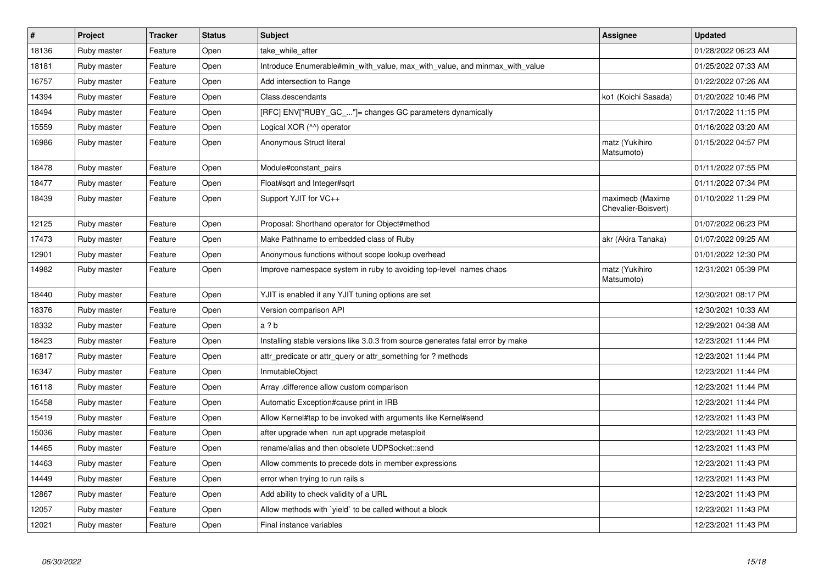| $\vert$ # | <b>Project</b> | <b>Tracker</b> | <b>Status</b> | <b>Subject</b>                                                                  | <b>Assignee</b>                         | <b>Updated</b>      |
|-----------|----------------|----------------|---------------|---------------------------------------------------------------------------------|-----------------------------------------|---------------------|
| 18136     | Ruby master    | Feature        | Open          | take while after                                                                |                                         | 01/28/2022 06:23 AM |
| 18181     | Ruby master    | Feature        | Open          | Introduce Enumerable#min_with_value, max_with_value, and minmax_with_value      |                                         | 01/25/2022 07:33 AM |
| 16757     | Ruby master    | Feature        | Open          | Add intersection to Range                                                       |                                         | 01/22/2022 07:26 AM |
| 14394     | Ruby master    | Feature        | Open          | Class.descendants                                                               | ko1 (Koichi Sasada)                     | 01/20/2022 10:46 PM |
| 18494     | Ruby master    | Feature        | Open          | [RFC] ENV["RUBY GC "]= changes GC parameters dynamically                        |                                         | 01/17/2022 11:15 PM |
| 15559     | Ruby master    | Feature        | Open          | Logical XOR (^^) operator                                                       |                                         | 01/16/2022 03:20 AM |
| 16986     | Ruby master    | Feature        | Open          | Anonymous Struct literal                                                        | matz (Yukihiro<br>Matsumoto)            | 01/15/2022 04:57 PM |
| 18478     | Ruby master    | Feature        | Open          | Module#constant_pairs                                                           |                                         | 01/11/2022 07:55 PM |
| 18477     | Ruby master    | Feature        | Open          | Float#sqrt and Integer#sqrt                                                     |                                         | 01/11/2022 07:34 PM |
| 18439     | Ruby master    | Feature        | Open          | Support YJIT for VC++                                                           | maximecb (Maxime<br>Chevalier-Boisvert) | 01/10/2022 11:29 PM |
| 12125     | Ruby master    | Feature        | Open          | Proposal: Shorthand operator for Object#method                                  |                                         | 01/07/2022 06:23 PM |
| 17473     | Ruby master    | Feature        | Open          | Make Pathname to embedded class of Ruby                                         | akr (Akira Tanaka)                      | 01/07/2022 09:25 AM |
| 12901     | Ruby master    | Feature        | Open          | Anonymous functions without scope lookup overhead                               |                                         | 01/01/2022 12:30 PM |
| 14982     | Ruby master    | Feature        | Open          | Improve namespace system in ruby to avoiding top-level names chaos              | matz (Yukihiro<br>Matsumoto)            | 12/31/2021 05:39 PM |
| 18440     | Ruby master    | Feature        | Open          | YJIT is enabled if any YJIT tuning options are set                              |                                         | 12/30/2021 08:17 PM |
| 18376     | Ruby master    | Feature        | Open          | Version comparison API                                                          |                                         | 12/30/2021 10:33 AM |
| 18332     | Ruby master    | Feature        | Open          | a ? b                                                                           |                                         | 12/29/2021 04:38 AM |
| 18423     | Ruby master    | Feature        | Open          | Installing stable versions like 3.0.3 from source generates fatal error by make |                                         | 12/23/2021 11:44 PM |
| 16817     | Ruby master    | Feature        | Open          | attr predicate or attr query or attr something for ? methods                    |                                         | 12/23/2021 11:44 PM |
| 16347     | Ruby master    | Feature        | Open          | InmutableObject                                                                 |                                         | 12/23/2021 11:44 PM |
| 16118     | Ruby master    | Feature        | Open          | Array .difference allow custom comparison                                       |                                         | 12/23/2021 11:44 PM |
| 15458     | Ruby master    | Feature        | Open          | Automatic Exception#cause print in IRB                                          |                                         | 12/23/2021 11:44 PM |
| 15419     | Ruby master    | Feature        | Open          | Allow Kernel#tap to be invoked with arguments like Kernel#send                  |                                         | 12/23/2021 11:43 PM |
| 15036     | Ruby master    | Feature        | Open          | after upgrade when run apt upgrade metasploit                                   |                                         | 12/23/2021 11:43 PM |
| 14465     | Ruby master    | Feature        | Open          | rename/alias and then obsolete UDPSocket::send                                  |                                         | 12/23/2021 11:43 PM |
| 14463     | Ruby master    | Feature        | Open          | Allow comments to precede dots in member expressions                            |                                         | 12/23/2021 11:43 PM |
| 14449     | Ruby master    | Feature        | Open          | error when trying to run rails s                                                |                                         | 12/23/2021 11:43 PM |
| 12867     | Ruby master    | Feature        | Open          | Add ability to check validity of a URL                                          |                                         | 12/23/2021 11:43 PM |
| 12057     | Ruby master    | Feature        | Open          | Allow methods with `yield` to be called without a block                         |                                         | 12/23/2021 11:43 PM |
| 12021     | Ruby master    | Feature        | Open          | Final instance variables                                                        |                                         | 12/23/2021 11:43 PM |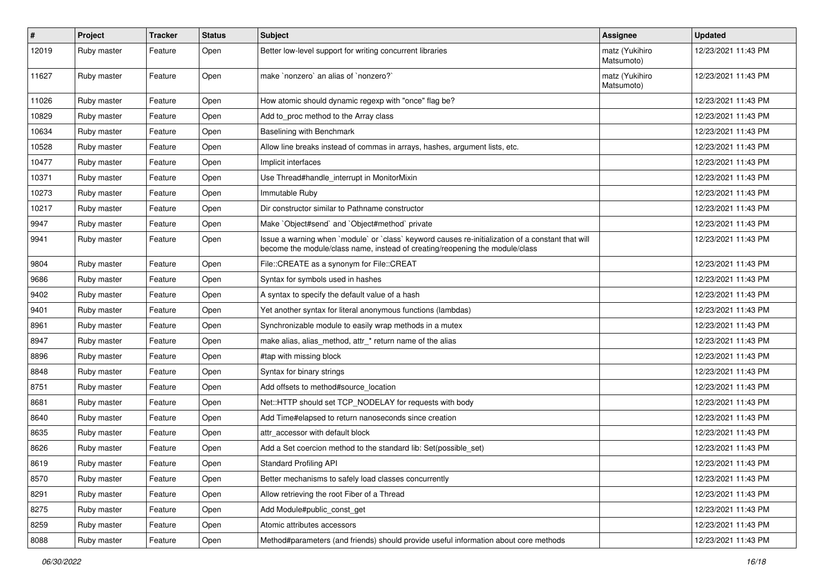| $\pmb{\#}$ | <b>Project</b> | <b>Tracker</b> | <b>Status</b> | Subject                                                                                                                                                                           | Assignee                     | <b>Updated</b>      |
|------------|----------------|----------------|---------------|-----------------------------------------------------------------------------------------------------------------------------------------------------------------------------------|------------------------------|---------------------|
| 12019      | Ruby master    | Feature        | Open          | Better low-level support for writing concurrent libraries                                                                                                                         | matz (Yukihiro<br>Matsumoto) | 12/23/2021 11:43 PM |
| 11627      | Ruby master    | Feature        | Open          | make `nonzero` an alias of `nonzero?`                                                                                                                                             | matz (Yukihiro<br>Matsumoto) | 12/23/2021 11:43 PM |
| 11026      | Ruby master    | Feature        | Open          | How atomic should dynamic regexp with "once" flag be?                                                                                                                             |                              | 12/23/2021 11:43 PM |
| 10829      | Ruby master    | Feature        | Open          | Add to proc method to the Array class                                                                                                                                             |                              | 12/23/2021 11:43 PM |
| 10634      | Ruby master    | Feature        | Open          | Baselining with Benchmark                                                                                                                                                         |                              | 12/23/2021 11:43 PM |
| 10528      | Ruby master    | Feature        | Open          | Allow line breaks instead of commas in arrays, hashes, argument lists, etc.                                                                                                       |                              | 12/23/2021 11:43 PM |
| 10477      | Ruby master    | Feature        | Open          | Implicit interfaces                                                                                                                                                               |                              | 12/23/2021 11:43 PM |
| 10371      | Ruby master    | Feature        | Open          | Use Thread#handle_interrupt in MonitorMixin                                                                                                                                       |                              | 12/23/2021 11:43 PM |
| 10273      | Ruby master    | Feature        | Open          | Immutable Ruby                                                                                                                                                                    |                              | 12/23/2021 11:43 PM |
| 10217      | Ruby master    | Feature        | Open          | Dir constructor similar to Pathname constructor                                                                                                                                   |                              | 12/23/2021 11:43 PM |
| 9947       | Ruby master    | Feature        | Open          | Make `Object#send` and `Object#method` private                                                                                                                                    |                              | 12/23/2021 11:43 PM |
| 9941       | Ruby master    | Feature        | Open          | Issue a warning when `module` or `class` keyword causes re-initialization of a constant that will<br>become the module/class name, instead of creating/reopening the module/class |                              | 12/23/2021 11:43 PM |
| 9804       | Ruby master    | Feature        | Open          | File::CREATE as a synonym for File::CREAT                                                                                                                                         |                              | 12/23/2021 11:43 PM |
| 9686       | Ruby master    | Feature        | Open          | Syntax for symbols used in hashes                                                                                                                                                 |                              | 12/23/2021 11:43 PM |
| 9402       | Ruby master    | Feature        | Open          | A syntax to specify the default value of a hash                                                                                                                                   |                              | 12/23/2021 11:43 PM |
| 9401       | Ruby master    | Feature        | Open          | Yet another syntax for literal anonymous functions (lambdas)                                                                                                                      |                              | 12/23/2021 11:43 PM |
| 8961       | Ruby master    | Feature        | Open          | Synchronizable module to easily wrap methods in a mutex                                                                                                                           |                              | 12/23/2021 11:43 PM |
| 8947       | Ruby master    | Feature        | Open          | make alias, alias_method, attr_* return name of the alias                                                                                                                         |                              | 12/23/2021 11:43 PM |
| 8896       | Ruby master    | Feature        | Open          | #tap with missing block                                                                                                                                                           |                              | 12/23/2021 11:43 PM |
| 8848       | Ruby master    | Feature        | Open          | Syntax for binary strings                                                                                                                                                         |                              | 12/23/2021 11:43 PM |
| 8751       | Ruby master    | Feature        | Open          | Add offsets to method#source location                                                                                                                                             |                              | 12/23/2021 11:43 PM |
| 8681       | Ruby master    | Feature        | Open          | Net::HTTP should set TCP_NODELAY for requests with body                                                                                                                           |                              | 12/23/2021 11:43 PM |
| 8640       | Ruby master    | Feature        | Open          | Add Time#elapsed to return nanoseconds since creation                                                                                                                             |                              | 12/23/2021 11:43 PM |
| 8635       | Ruby master    | Feature        | Open          | attr accessor with default block                                                                                                                                                  |                              | 12/23/2021 11:43 PM |
| 8626       | Ruby master    | Feature        | Open          | Add a Set coercion method to the standard lib: Set(possible_set)                                                                                                                  |                              | 12/23/2021 11:43 PM |
| 8619       | Ruby master    | Feature        | Open          | <b>Standard Profiling API</b>                                                                                                                                                     |                              | 12/23/2021 11:43 PM |
| 8570       | Ruby master    | Feature        | Open          | Better mechanisms to safely load classes concurrently                                                                                                                             |                              | 12/23/2021 11:43 PM |
| 8291       | Ruby master    | Feature        | Open          | Allow retrieving the root Fiber of a Thread                                                                                                                                       |                              | 12/23/2021 11:43 PM |
| 8275       | Ruby master    | Feature        | Open          | Add Module#public_const_get                                                                                                                                                       |                              | 12/23/2021 11:43 PM |
| 8259       | Ruby master    | Feature        | Open          | Atomic attributes accessors                                                                                                                                                       |                              | 12/23/2021 11:43 PM |
| 8088       | Ruby master    | Feature        | Open          | Method#parameters (and friends) should provide useful information about core methods                                                                                              |                              | 12/23/2021 11:43 PM |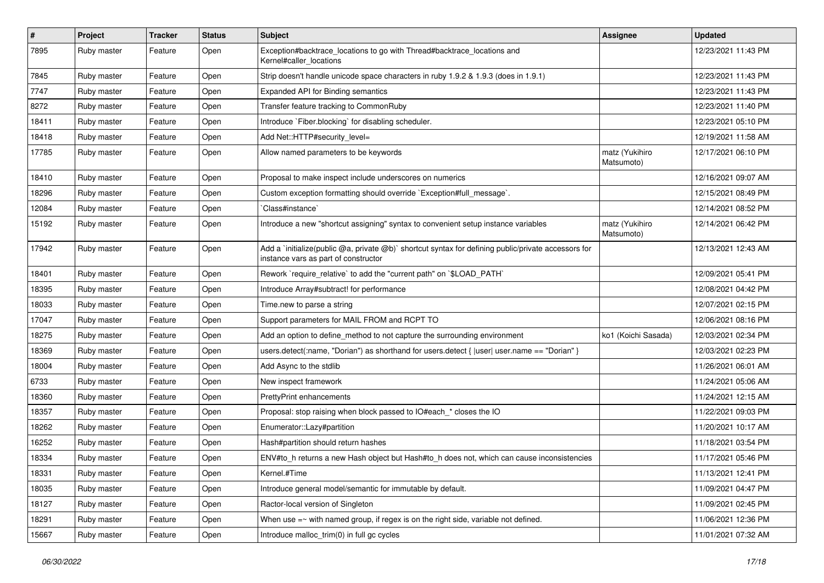| $\vert$ # | <b>Project</b> | Tracker | <b>Status</b> | Subject                                                                                                                                     | Assignee                     | <b>Updated</b>      |
|-----------|----------------|---------|---------------|---------------------------------------------------------------------------------------------------------------------------------------------|------------------------------|---------------------|
| 7895      | Ruby master    | Feature | Open          | Exception#backtrace_locations to go with Thread#backtrace_locations and<br>Kernel#caller locations                                          |                              | 12/23/2021 11:43 PM |
| 7845      | Ruby master    | Feature | Open          | Strip doesn't handle unicode space characters in ruby 1.9.2 & 1.9.3 (does in 1.9.1)                                                         |                              | 12/23/2021 11:43 PM |
| 7747      | Ruby master    | Feature | Open          | Expanded API for Binding semantics                                                                                                          |                              | 12/23/2021 11:43 PM |
| 8272      | Ruby master    | Feature | Open          | Transfer feature tracking to CommonRuby                                                                                                     |                              | 12/23/2021 11:40 PM |
| 18411     | Ruby master    | Feature | Open          | Introduce `Fiber.blocking` for disabling scheduler.                                                                                         |                              | 12/23/2021 05:10 PM |
| 18418     | Ruby master    | Feature | Open          | Add Net::HTTP#security_level=                                                                                                               |                              | 12/19/2021 11:58 AM |
| 17785     | Ruby master    | Feature | Open          | Allow named parameters to be keywords                                                                                                       | matz (Yukihiro<br>Matsumoto) | 12/17/2021 06:10 PM |
| 18410     | Ruby master    | Feature | Open          | Proposal to make inspect include underscores on numerics                                                                                    |                              | 12/16/2021 09:07 AM |
| 18296     | Ruby master    | Feature | Open          | Custom exception formatting should override `Exception#full_message`.                                                                       |                              | 12/15/2021 08:49 PM |
| 12084     | Ruby master    | Feature | Open          | Class#instance`                                                                                                                             |                              | 12/14/2021 08:52 PM |
| 15192     | Ruby master    | Feature | Open          | Introduce a new "shortcut assigning" syntax to convenient setup instance variables                                                          | matz (Yukihiro<br>Matsumoto) | 12/14/2021 06:42 PM |
| 17942     | Ruby master    | Feature | Open          | Add a `initialize(public @a, private @b)` shortcut syntax for defining public/private accessors for<br>instance vars as part of constructor |                              | 12/13/2021 12:43 AM |
| 18401     | Ruby master    | Feature | Open          | Rework `require_relative` to add the "current path" on `\$LOAD_PATH`                                                                        |                              | 12/09/2021 05:41 PM |
| 18395     | Ruby master    | Feature | Open          | Introduce Array#subtract! for performance                                                                                                   |                              | 12/08/2021 04:42 PM |
| 18033     | Ruby master    | Feature | Open          | Time.new to parse a string                                                                                                                  |                              | 12/07/2021 02:15 PM |
| 17047     | Ruby master    | Feature | Open          | Support parameters for MAIL FROM and RCPT TO                                                                                                |                              | 12/06/2021 08:16 PM |
| 18275     | Ruby master    | Feature | Open          | Add an option to define_method to not capture the surrounding environment                                                                   | ko1 (Koichi Sasada)          | 12/03/2021 02:34 PM |
| 18369     | Ruby master    | Feature | Open          | users.detect(:name, "Dorian") as shorthand for users.detect {  user  user.name == "Dorian" }                                                |                              | 12/03/2021 02:23 PM |
| 18004     | Ruby master    | Feature | Open          | Add Async to the stdlib                                                                                                                     |                              | 11/26/2021 06:01 AM |
| 6733      | Ruby master    | Feature | Open          | New inspect framework                                                                                                                       |                              | 11/24/2021 05:06 AM |
| 18360     | Ruby master    | Feature | Open          | <b>PrettyPrint enhancements</b>                                                                                                             |                              | 11/24/2021 12:15 AM |
| 18357     | Ruby master    | Feature | Open          | Proposal: stop raising when block passed to IO#each_* closes the IO                                                                         |                              | 11/22/2021 09:03 PM |
| 18262     | Ruby master    | Feature | Open          | Enumerator::Lazy#partition                                                                                                                  |                              | 11/20/2021 10:17 AM |
| 16252     | Ruby master    | Feature | Open          | Hash#partition should return hashes                                                                                                         |                              | 11/18/2021 03:54 PM |
| 18334     | Ruby master    | Feature | Open          | ENV#to_h returns a new Hash object but Hash#to_h does not, which can cause inconsistencies                                                  |                              | 11/17/2021 05:46 PM |
| 18331     | Ruby master    | Feature | Open          | Kernel.#Time                                                                                                                                |                              | 11/13/2021 12:41 PM |
| 18035     | Ruby master    | Feature | Open          | Introduce general model/semantic for immutable by default.                                                                                  |                              | 11/09/2021 04:47 PM |
| 18127     | Ruby master    | Feature | Open          | Ractor-local version of Singleton                                                                                                           |                              | 11/09/2021 02:45 PM |
| 18291     | Ruby master    | Feature | Open          | When use $=\sim$ with named group, if regex is on the right side, variable not defined.                                                     |                              | 11/06/2021 12:36 PM |
| 15667     | Ruby master    | Feature | Open          | Introduce malloc_trim(0) in full gc cycles                                                                                                  |                              | 11/01/2021 07:32 AM |